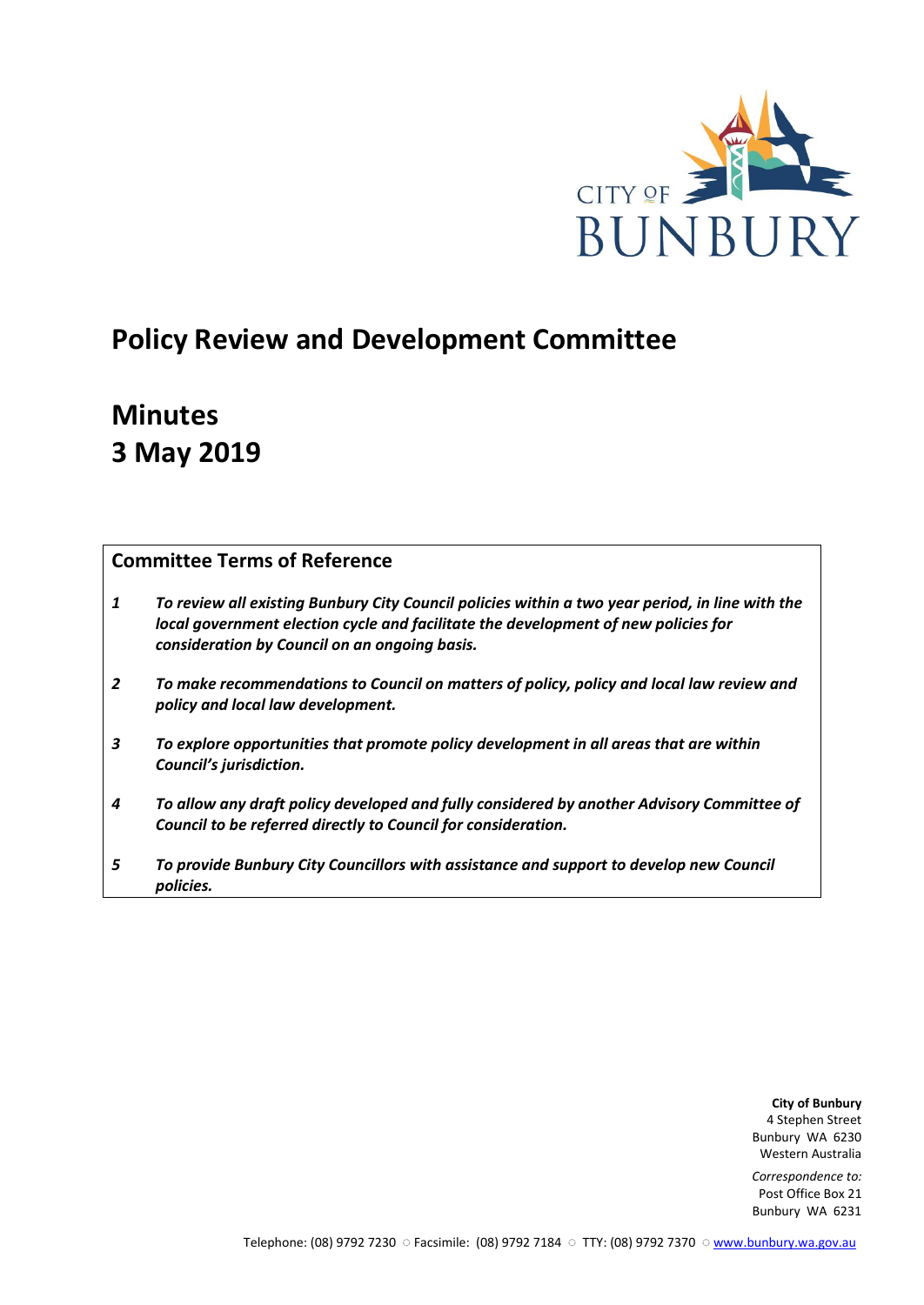

# **Policy Review and Development Committee**

# **Minutes 3 May 2019**

# **Committee Terms of Reference**

- *1 To review all existing Bunbury City Council policies within a two year period, in line with the local government election cycle and facilitate the development of new policies for consideration by Council on an ongoing basis.*
- *2 To make recommendations to Council on matters of policy, policy and local law review and policy and local law development.*
- *3 To explore opportunities that promote policy development in all areas that are within Council's jurisdiction.*
- *4 To allow any draft policy developed and fully considered by another Advisory Committee of Council to be referred directly to Council for consideration.*
- *5 To provide Bunbury City Councillors with assistance and support to develop new Council policies.*

**City of Bunbury** 4 Stephen Street Bunbury WA 6230 Western Australia

*Correspondence to:* Post Office Box 21 Bunbury WA 6231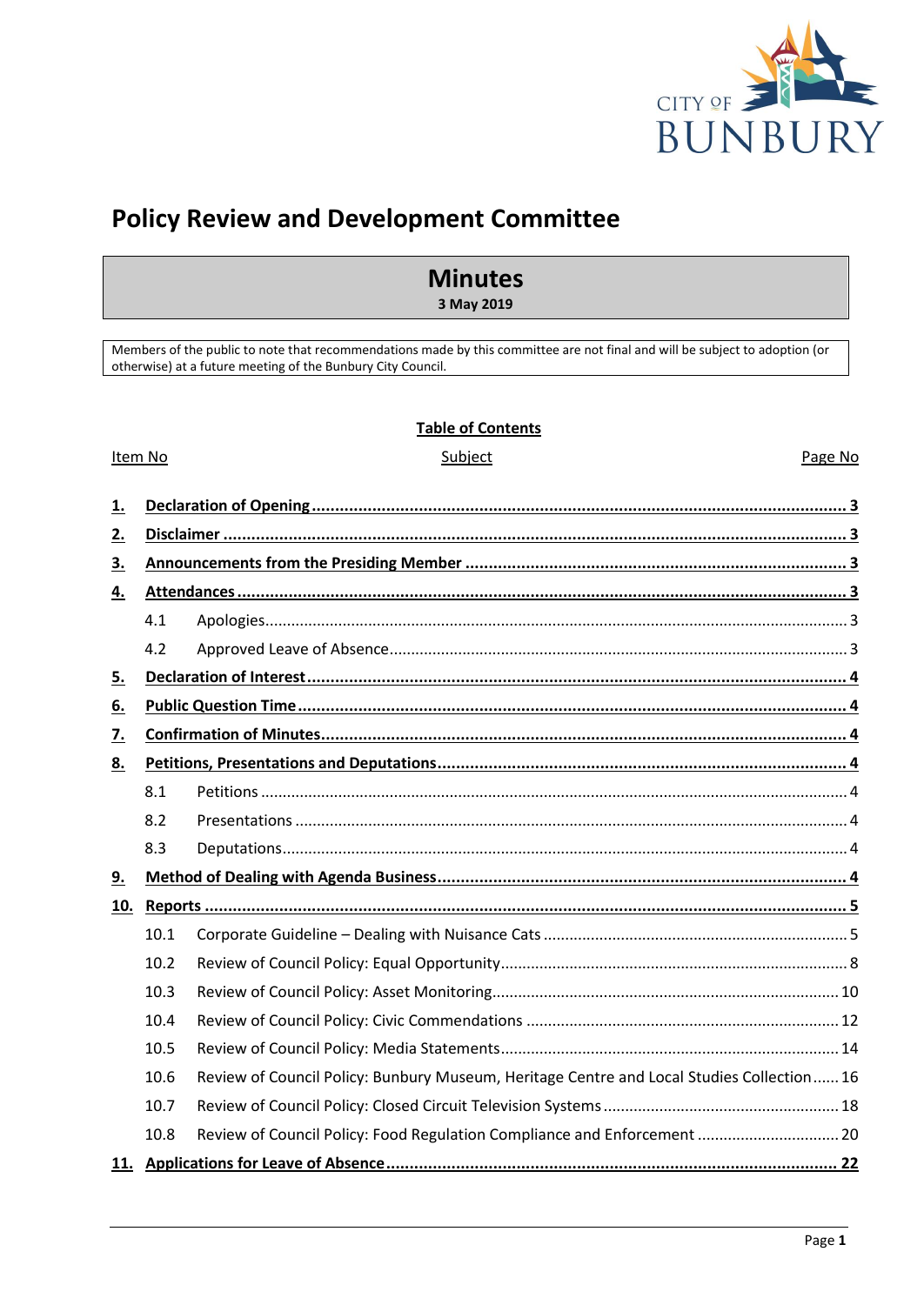

Page No

# **Policy Review and Development Committee**

# **Minutes**

3 May 2019

Members of the public to note that recommendations made by this committee are not final and will be subject to adoption (or otherwise) at a future meeting of the Bunbury City Council.

## **Table of Contents**

Subject

#### Item No

| <u>1.</u> |      |                                                                                           |  |
|-----------|------|-------------------------------------------------------------------------------------------|--|
| <u>2.</u> |      |                                                                                           |  |
| <u>3.</u> |      |                                                                                           |  |
| <u>4.</u> |      |                                                                                           |  |
|           | 4.1  |                                                                                           |  |
|           | 4.2  |                                                                                           |  |
| <u>5.</u> |      |                                                                                           |  |
| <u>6.</u> |      |                                                                                           |  |
| <u>7.</u> |      |                                                                                           |  |
| 8.        |      |                                                                                           |  |
|           | 8.1  |                                                                                           |  |
|           | 8.2  |                                                                                           |  |
|           | 8.3  |                                                                                           |  |
| 9.        |      |                                                                                           |  |
| 10.       |      |                                                                                           |  |
|           | 10.1 |                                                                                           |  |
|           | 10.2 |                                                                                           |  |
|           | 10.3 |                                                                                           |  |
|           | 10.4 |                                                                                           |  |
|           | 10.5 |                                                                                           |  |
|           | 10.6 | Review of Council Policy: Bunbury Museum, Heritage Centre and Local Studies Collection 16 |  |
|           | 10.7 |                                                                                           |  |
|           | 10.8 | Review of Council Policy: Food Regulation Compliance and Enforcement  20                  |  |
|           |      | . 22                                                                                      |  |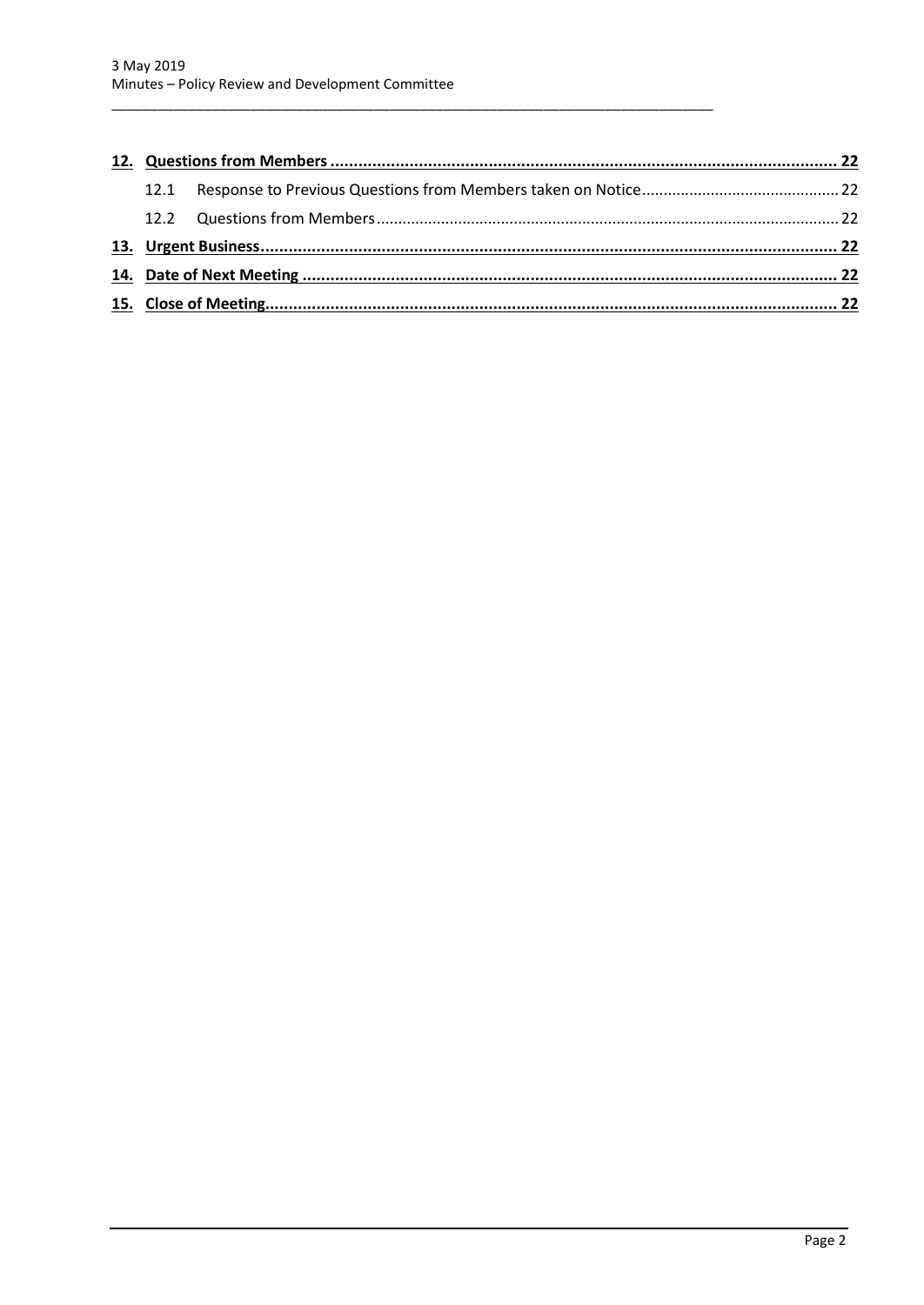| 12.1 |  |  |
|------|--|--|
|      |  |  |
|      |  |  |
|      |  |  |
|      |  |  |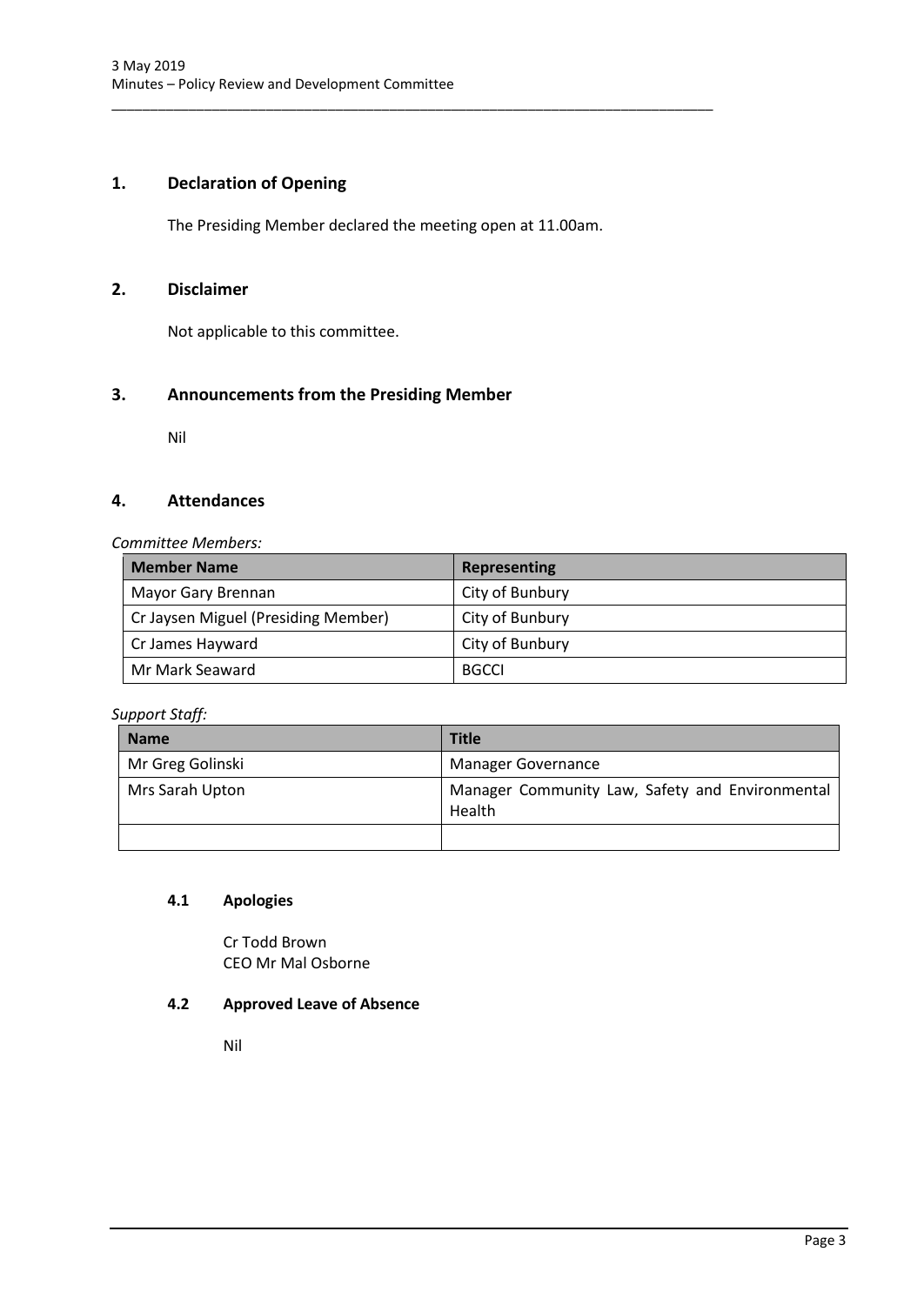# <span id="page-3-0"></span>**1. Declaration of Opening**

The Presiding Member declared the meeting open at 11.00am.

\_\_\_\_\_\_\_\_\_\_\_\_\_\_\_\_\_\_\_\_\_\_\_\_\_\_\_\_\_\_\_\_\_\_\_\_\_\_\_\_\_\_\_\_\_\_\_\_\_\_\_\_\_\_\_\_\_\_\_\_\_\_\_\_\_\_\_\_\_\_\_\_\_\_\_\_\_\_

# <span id="page-3-1"></span>**2. Disclaimer**

Not applicable to this committee.

# <span id="page-3-2"></span>**3. Announcements from the Presiding Member**

Nil

## <span id="page-3-3"></span>**4. Attendances**

#### *Committee Members:*

| <b>Member Name</b>                  | <b>Representing</b> |
|-------------------------------------|---------------------|
| Mayor Gary Brennan                  | City of Bunbury     |
| Cr Jaysen Miguel (Presiding Member) | City of Bunbury     |
| Cr James Hayward                    | City of Bunbury     |
| Mr Mark Seaward                     | <b>BGCCI</b>        |

*Support Staff:*

| <b>Name</b>      | <b>Title</b>                                              |
|------------------|-----------------------------------------------------------|
| Mr Greg Golinski | <b>Manager Governance</b>                                 |
| Mrs Sarah Upton  | Manager Community Law, Safety and Environmental<br>Health |
|                  |                                                           |

## <span id="page-3-4"></span>**4.1 Apologies**

Cr Todd Brown CEO Mr Mal Osborne

# <span id="page-3-5"></span>**4.2 Approved Leave of Absence**

Nil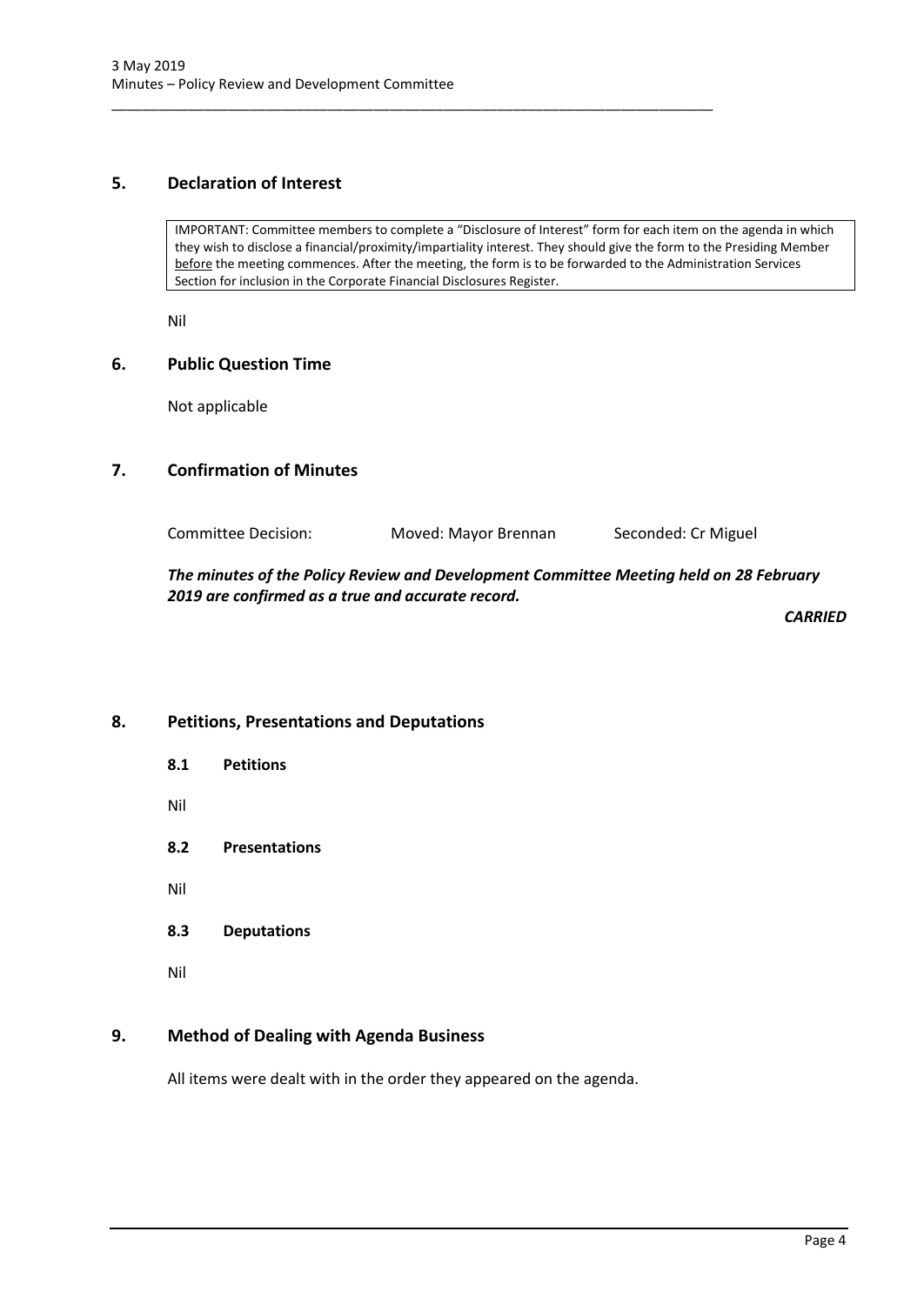# <span id="page-4-0"></span>**5. Declaration of Interest**

IMPORTANT: Committee members to complete a "Disclosure of Interest" form for each item on the agenda in which they wish to disclose a financial/proximity/impartiality interest. They should give the form to the Presiding Member before the meeting commences. After the meeting, the form is to be forwarded to the Administration Services Section for inclusion in the Corporate Financial Disclosures Register.

\_\_\_\_\_\_\_\_\_\_\_\_\_\_\_\_\_\_\_\_\_\_\_\_\_\_\_\_\_\_\_\_\_\_\_\_\_\_\_\_\_\_\_\_\_\_\_\_\_\_\_\_\_\_\_\_\_\_\_\_\_\_\_\_\_\_\_\_\_\_\_\_\_\_\_\_\_\_

Nil

# <span id="page-4-1"></span>**6. Public Question Time**

Not applicable

# <span id="page-4-2"></span>**7. Confirmation of Minutes**

Committee Decision: Moved: Mayor Brennan Seconded: Cr Miguel

*The minutes of the Policy Review and Development Committee Meeting held on 28 February 2019 are confirmed as a true and accurate record.*

*CARRIED*

# <span id="page-4-4"></span><span id="page-4-3"></span>**8. Petitions, Presentations and Deputations**

- **8.1 Petitions** Nil
- <span id="page-4-5"></span>**8.2 Presentations**
- Nil
- <span id="page-4-6"></span>**8.3 Deputations**
- Nil

# <span id="page-4-7"></span>**9. Method of Dealing with Agenda Business**

All items were dealt with in the order they appeared on the agenda.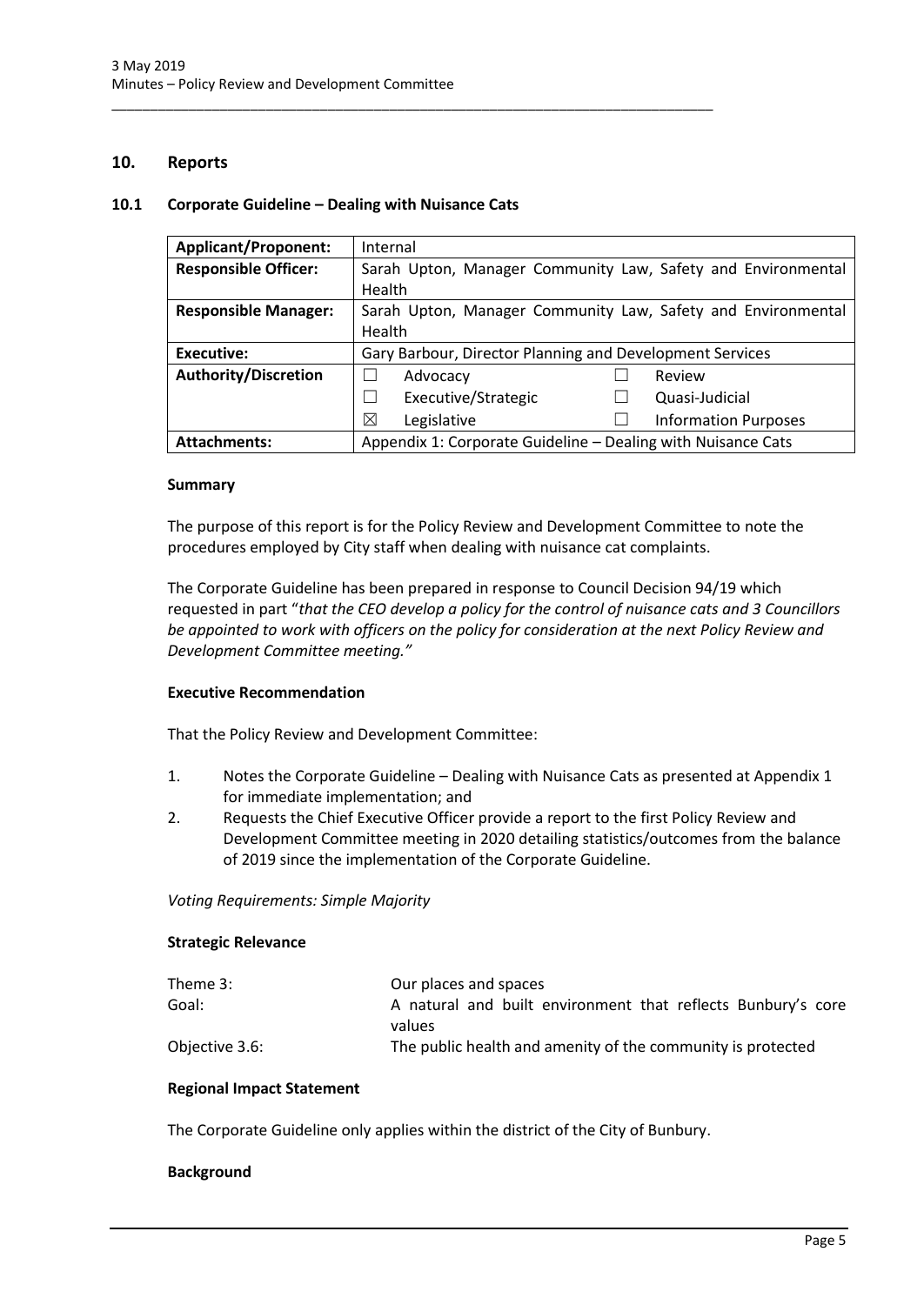## <span id="page-5-0"></span>**10. Reports**

## <span id="page-5-1"></span>**10.1 Corporate Guideline – Dealing with Nuisance Cats**

\_\_\_\_\_\_\_\_\_\_\_\_\_\_\_\_\_\_\_\_\_\_\_\_\_\_\_\_\_\_\_\_\_\_\_\_\_\_\_\_\_\_\_\_\_\_\_\_\_\_\_\_\_\_\_\_\_\_\_\_\_\_\_\_\_\_\_\_\_\_\_\_\_\_\_\_\_\_

| <b>Applicant/Proponent:</b> | Internal                                                     |  |
|-----------------------------|--------------------------------------------------------------|--|
| <b>Responsible Officer:</b> | Sarah Upton, Manager Community Law, Safety and Environmental |  |
|                             | Health                                                       |  |
| <b>Responsible Manager:</b> | Sarah Upton, Manager Community Law, Safety and Environmental |  |
|                             | Health                                                       |  |
| <b>Executive:</b>           | Gary Barbour, Director Planning and Development Services     |  |
| <b>Authority/Discretion</b> | Advocacy<br>Review                                           |  |
|                             | Executive/Strategic<br>Quasi-Judicial                        |  |
|                             | ⊠<br>Legislative<br><b>Information Purposes</b>              |  |
|                             | Appendix 1: Corporate Guideline - Dealing with Nuisance Cats |  |

## **Summary**

The purpose of this report is for the Policy Review and Development Committee to note the procedures employed by City staff when dealing with nuisance cat complaints.

The Corporate Guideline has been prepared in response to Council Decision 94/19 which requested in part "*that the CEO develop a policy for the control of nuisance cats and 3 Councillors be appointed to work with officers on the policy for consideration at the next Policy Review and Development Committee meeting."*

## **Executive Recommendation**

That the Policy Review and Development Committee:

- 1. Notes the Corporate Guideline Dealing with Nuisance Cats as presented at Appendix 1 for immediate implementation; and
- 2. Requests the Chief Executive Officer provide a report to the first Policy Review and Development Committee meeting in 2020 detailing statistics/outcomes from the balance of 2019 since the implementation of the Corporate Guideline.

## *Voting Requirements: Simple Majority*

## **Strategic Relevance**

| Theme 3:       | Our places and spaces                                        |
|----------------|--------------------------------------------------------------|
| Goal:          | A natural and built environment that reflects Bunbury's core |
|                | values                                                       |
| Objective 3.6: | The public health and amenity of the community is protected  |

## **Regional Impact Statement**

The Corporate Guideline only applies within the district of the City of Bunbury.

## **Background**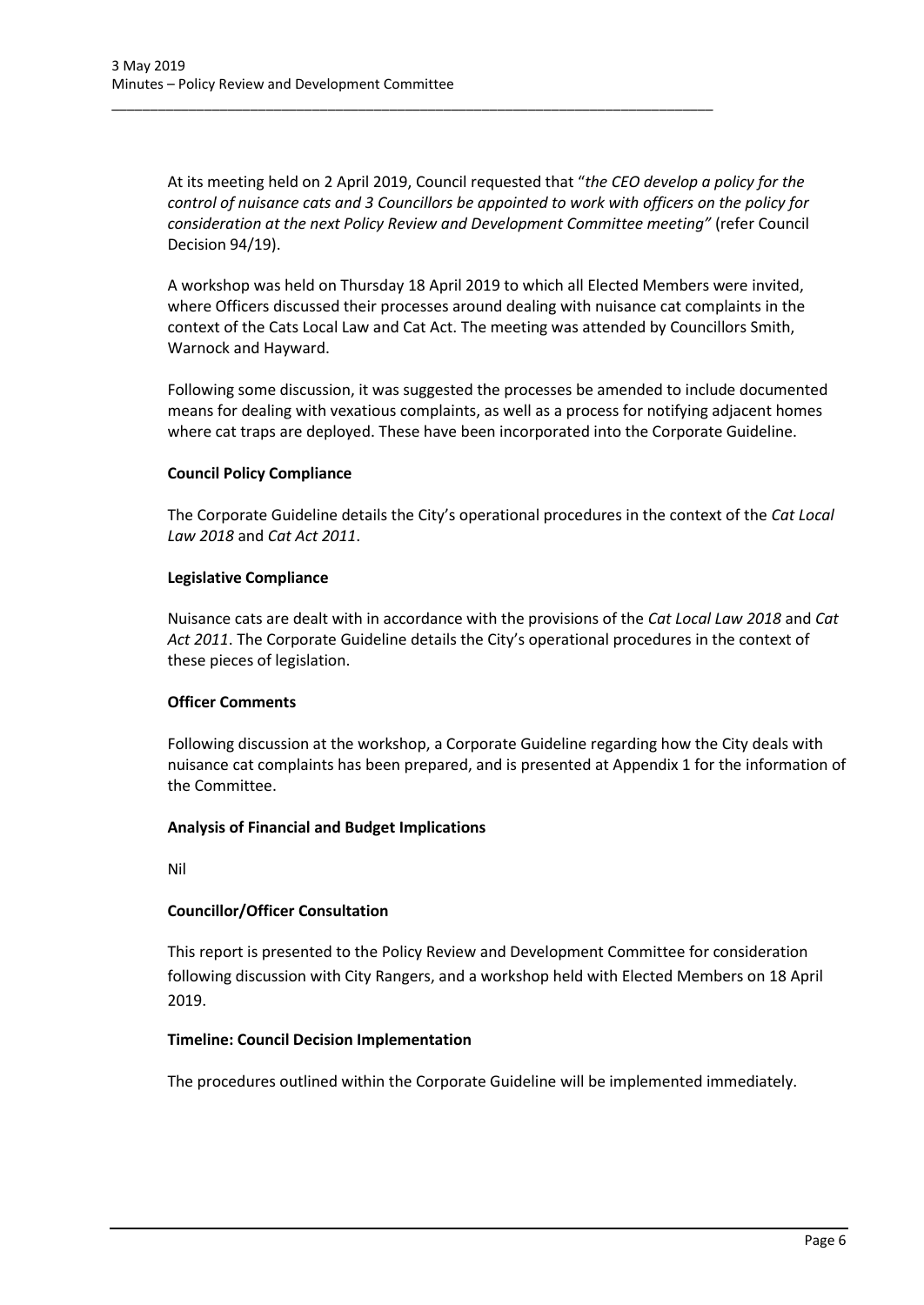At its meeting held on 2 April 2019, Council requested that "*the CEO develop a policy for the control of nuisance cats and 3 Councillors be appointed to work with officers on the policy for consideration at the next Policy Review and Development Committee meeting"* (refer Council Decision 94/19).

\_\_\_\_\_\_\_\_\_\_\_\_\_\_\_\_\_\_\_\_\_\_\_\_\_\_\_\_\_\_\_\_\_\_\_\_\_\_\_\_\_\_\_\_\_\_\_\_\_\_\_\_\_\_\_\_\_\_\_\_\_\_\_\_\_\_\_\_\_\_\_\_\_\_\_\_\_\_

A workshop was held on Thursday 18 April 2019 to which all Elected Members were invited, where Officers discussed their processes around dealing with nuisance cat complaints in the context of the Cats Local Law and Cat Act. The meeting was attended by Councillors Smith, Warnock and Hayward.

Following some discussion, it was suggested the processes be amended to include documented means for dealing with vexatious complaints, as well as a process for notifying adjacent homes where cat traps are deployed. These have been incorporated into the Corporate Guideline.

## **Council Policy Compliance**

The Corporate Guideline details the City's operational procedures in the context of the *Cat Local Law 2018* and *Cat Act 2011*.

## **Legislative Compliance**

Nuisance cats are dealt with in accordance with the provisions of the *Cat Local Law 2018* and *Cat Act 2011*. The Corporate Guideline details the City's operational procedures in the context of these pieces of legislation.

# **Officer Comments**

Following discussion at the workshop, a Corporate Guideline regarding how the City deals with nuisance cat complaints has been prepared, and is presented at Appendix 1 for the information of the Committee.

## **Analysis of Financial and Budget Implications**

Nil

# **Councillor/Officer Consultation**

This report is presented to the Policy Review and Development Committee for consideration following discussion with City Rangers, and a workshop held with Elected Members on 18 April 2019.

## **Timeline: Council Decision Implementation**

The procedures outlined within the Corporate Guideline will be implemented immediately.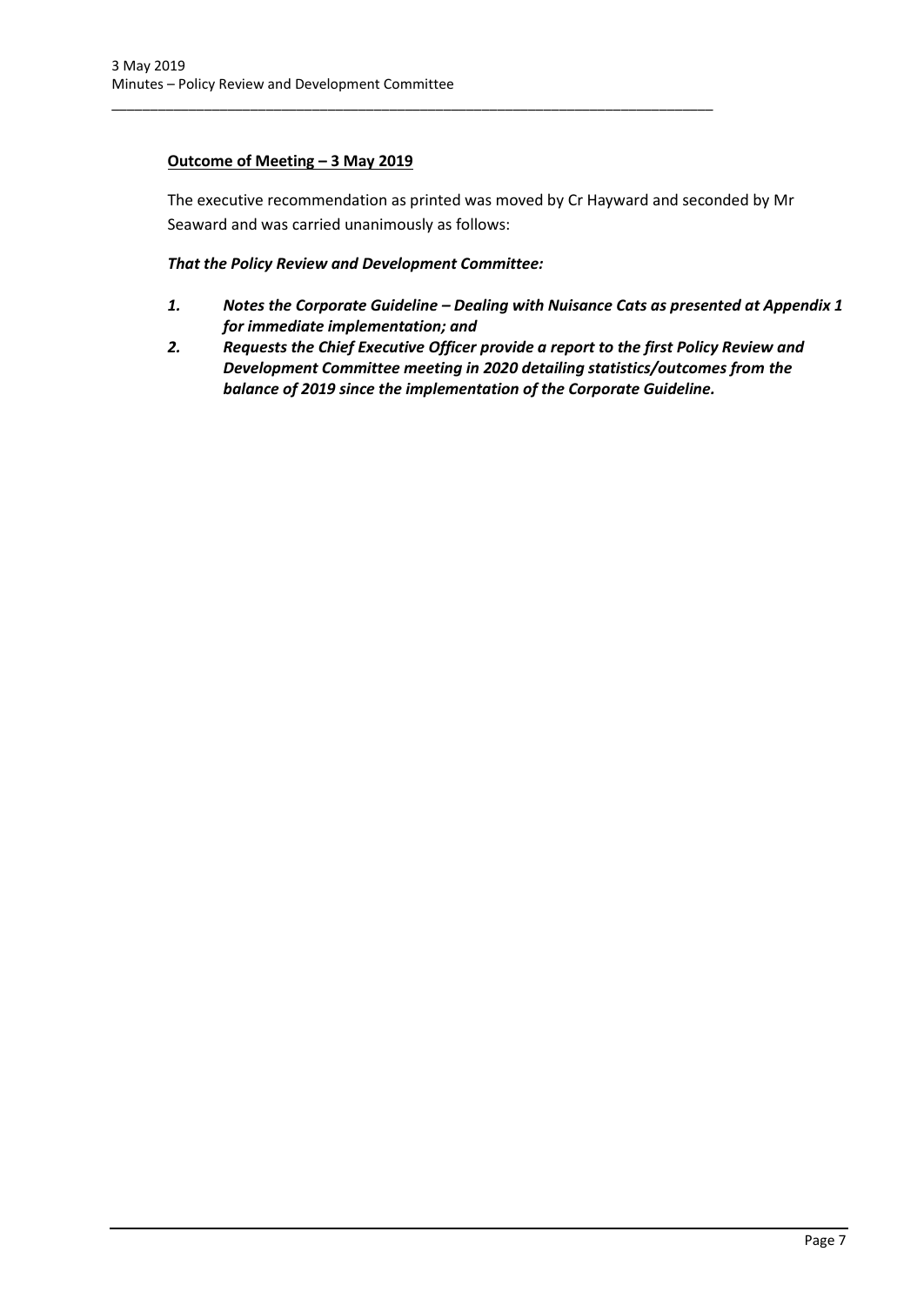# **Outcome of Meeting – 3 May 2019**

The executive recommendation as printed was moved by Cr Hayward and seconded by Mr Seaward and was carried unanimously as follows:

## *That the Policy Review and Development Committee:*

\_\_\_\_\_\_\_\_\_\_\_\_\_\_\_\_\_\_\_\_\_\_\_\_\_\_\_\_\_\_\_\_\_\_\_\_\_\_\_\_\_\_\_\_\_\_\_\_\_\_\_\_\_\_\_\_\_\_\_\_\_\_\_\_\_\_\_\_\_\_\_\_\_\_\_\_\_\_

- *1. Notes the Corporate Guideline – Dealing with Nuisance Cats as presented at Appendix 1 for immediate implementation; and*
- *2. Requests the Chief Executive Officer provide a report to the first Policy Review and Development Committee meeting in 2020 detailing statistics/outcomes from the balance of 2019 since the implementation of the Corporate Guideline.*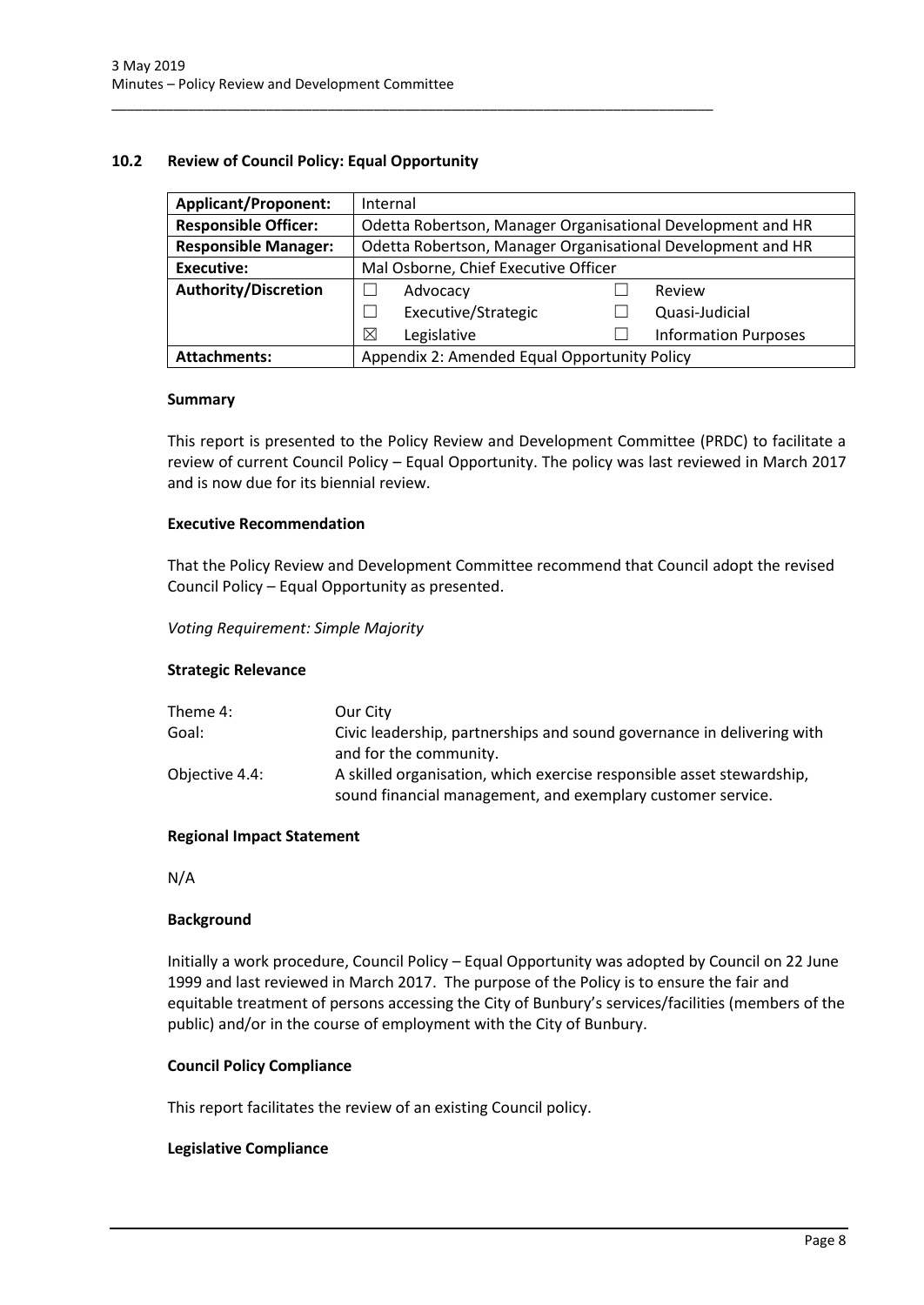## <span id="page-8-0"></span>**10.2 Review of Council Policy: Equal Opportunity**

\_\_\_\_\_\_\_\_\_\_\_\_\_\_\_\_\_\_\_\_\_\_\_\_\_\_\_\_\_\_\_\_\_\_\_\_\_\_\_\_\_\_\_\_\_\_\_\_\_\_\_\_\_\_\_\_\_\_\_\_\_\_\_\_\_\_\_\_\_\_\_\_\_\_\_\_\_\_

| <b>Applicant/Proponent:</b> | Internal                                                    |                             |  |
|-----------------------------|-------------------------------------------------------------|-----------------------------|--|
| <b>Responsible Officer:</b> | Odetta Robertson, Manager Organisational Development and HR |                             |  |
| <b>Responsible Manager:</b> | Odetta Robertson, Manager Organisational Development and HR |                             |  |
| Executive:                  | Mal Osborne, Chief Executive Officer                        |                             |  |
| <b>Authority/Discretion</b> | Advocacy                                                    | Review                      |  |
|                             | Executive/Strategic                                         | Quasi-Judicial              |  |
|                             | ⊠<br>Legislative                                            | <b>Information Purposes</b> |  |
| <b>Attachments:</b>         | Appendix 2: Amended Equal Opportunity Policy                |                             |  |

#### **Summary**

This report is presented to the Policy Review and Development Committee (PRDC) to facilitate a review of current Council Policy – Equal Opportunity. The policy was last reviewed in March 2017 and is now due for its biennial review.

## **Executive Recommendation**

That the Policy Review and Development Committee recommend that Council adopt the revised Council Policy – Equal Opportunity as presented.

*Voting Requirement: Simple Majority* 

## **Strategic Relevance**

| Theme 4:       | Our City                                                                                                                             |
|----------------|--------------------------------------------------------------------------------------------------------------------------------------|
| Goal:          | Civic leadership, partnerships and sound governance in delivering with                                                               |
|                | and for the community.                                                                                                               |
| Objective 4.4: | A skilled organisation, which exercise responsible asset stewardship,<br>sound financial management, and exemplary customer service. |

## **Regional Impact Statement**

N/A

## **Background**

Initially a work procedure, Council Policy – Equal Opportunity was adopted by Council on 22 June 1999 and last reviewed in March 2017. The purpose of the Policy is to ensure the fair and equitable treatment of persons accessing the City of Bunbury's services/facilities (members of the public) and/or in the course of employment with the City of Bunbury.

## **Council Policy Compliance**

This report facilitates the review of an existing Council policy.

## **Legislative Compliance**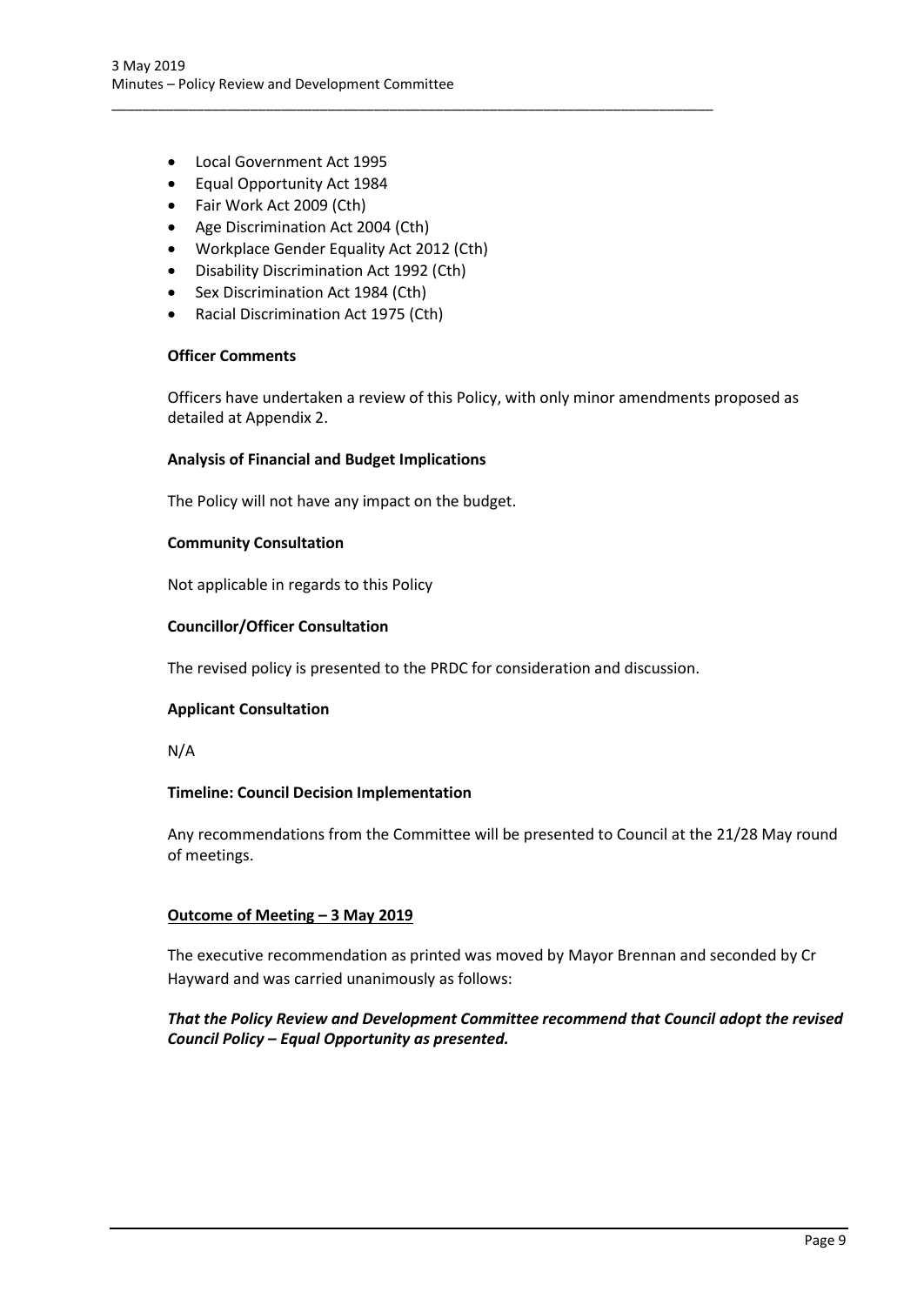- Local Government Act 1995
- Equal Opportunity Act 1984
- Fair Work Act 2009 (Cth)
- Age Discrimination Act 2004 (Cth)
- Workplace Gender Equality Act 2012 (Cth)

\_\_\_\_\_\_\_\_\_\_\_\_\_\_\_\_\_\_\_\_\_\_\_\_\_\_\_\_\_\_\_\_\_\_\_\_\_\_\_\_\_\_\_\_\_\_\_\_\_\_\_\_\_\_\_\_\_\_\_\_\_\_\_\_\_\_\_\_\_\_\_\_\_\_\_\_\_\_

- Disability Discrimination Act 1992 (Cth)
- Sex Discrimination Act 1984 (Cth)
- Racial Discrimination Act 1975 (Cth)

## **Officer Comments**

Officers have undertaken a review of this Policy, with only minor amendments proposed as detailed at Appendix 2.

## **Analysis of Financial and Budget Implications**

The Policy will not have any impact on the budget.

## **Community Consultation**

Not applicable in regards to this Policy

## **Councillor/Officer Consultation**

The revised policy is presented to the PRDC for consideration and discussion.

## **Applicant Consultation**

N/A

## **Timeline: Council Decision Implementation**

Any recommendations from the Committee will be presented to Council at the 21/28 May round of meetings.

## **Outcome of Meeting – 3 May 2019**

The executive recommendation as printed was moved by Mayor Brennan and seconded by Cr Hayward and was carried unanimously as follows:

# *That the Policy Review and Development Committee recommend that Council adopt the revised Council Policy – Equal Opportunity as presented.*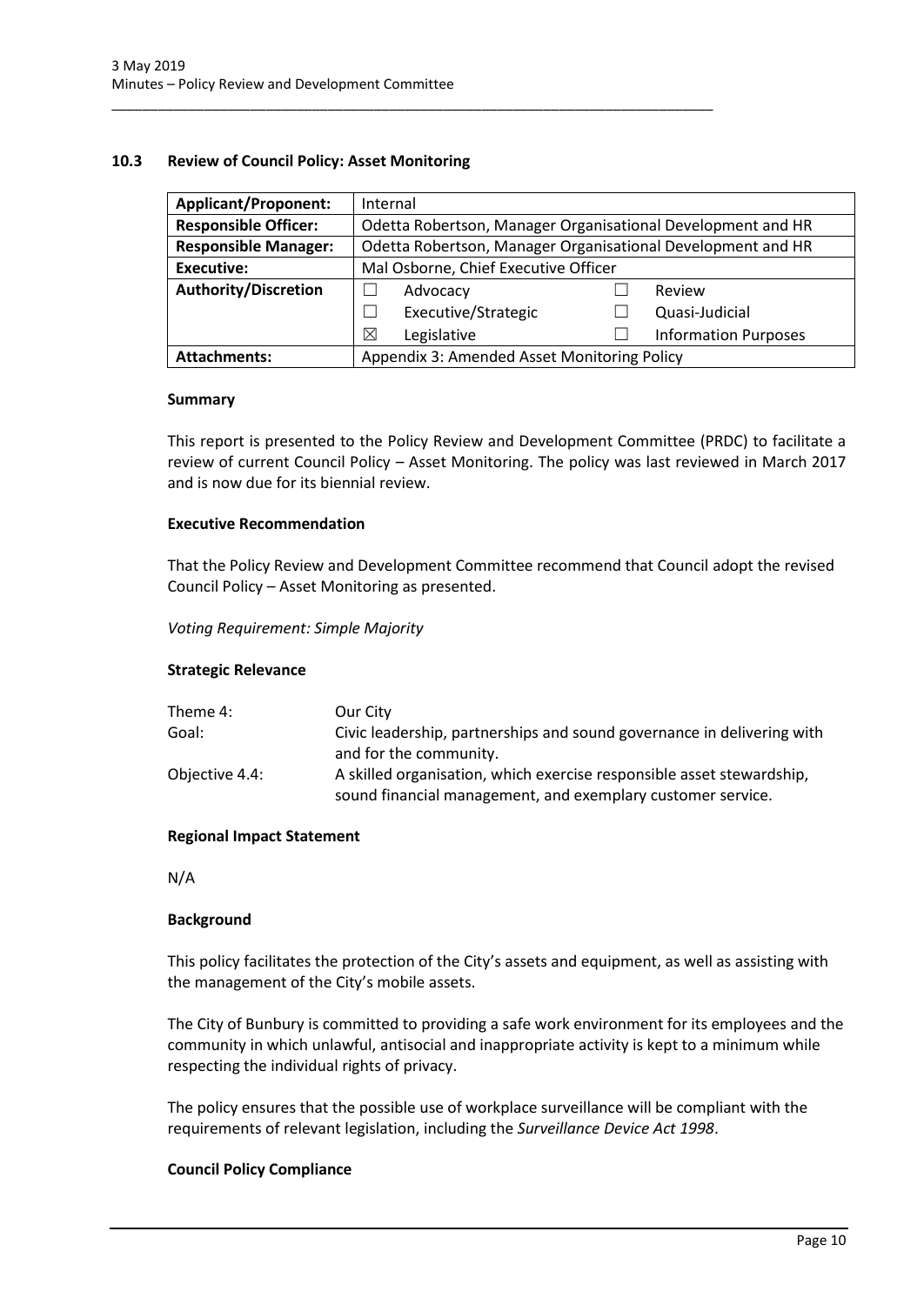## <span id="page-10-0"></span>**10.3 Review of Council Policy: Asset Monitoring**

\_\_\_\_\_\_\_\_\_\_\_\_\_\_\_\_\_\_\_\_\_\_\_\_\_\_\_\_\_\_\_\_\_\_\_\_\_\_\_\_\_\_\_\_\_\_\_\_\_\_\_\_\_\_\_\_\_\_\_\_\_\_\_\_\_\_\_\_\_\_\_\_\_\_\_\_\_\_

| <b>Applicant/Proponent:</b> | Internal                                                    |  |                             |
|-----------------------------|-------------------------------------------------------------|--|-----------------------------|
| <b>Responsible Officer:</b> | Odetta Robertson, Manager Organisational Development and HR |  |                             |
| <b>Responsible Manager:</b> | Odetta Robertson, Manager Organisational Development and HR |  |                             |
| Executive:                  | Mal Osborne, Chief Executive Officer                        |  |                             |
| <b>Authority/Discretion</b> | Advocacy                                                    |  | Review                      |
|                             | Executive/Strategic                                         |  | Quasi-Judicial              |
|                             | ⊠<br>Legislative                                            |  | <b>Information Purposes</b> |
| <b>Attachments:</b>         | Appendix 3: Amended Asset Monitoring Policy                 |  |                             |

#### **Summary**

This report is presented to the Policy Review and Development Committee (PRDC) to facilitate a review of current Council Policy – Asset Monitoring. The policy was last reviewed in March 2017 and is now due for its biennial review.

## **Executive Recommendation**

That the Policy Review and Development Committee recommend that Council adopt the revised Council Policy – Asset Monitoring as presented.

*Voting Requirement: Simple Majority* 

## **Strategic Relevance**

| Theme 4:       | Our City                                                                                                                             |
|----------------|--------------------------------------------------------------------------------------------------------------------------------------|
| Goal:          | Civic leadership, partnerships and sound governance in delivering with                                                               |
|                | and for the community.                                                                                                               |
| Objective 4.4: | A skilled organisation, which exercise responsible asset stewardship,<br>sound financial management, and exemplary customer service. |

## **Regional Impact Statement**

N/A

## **Background**

This policy facilitates the protection of the City's assets and equipment, as well as assisting with the management of the City's mobile assets.

The City of Bunbury is committed to providing a safe work environment for its employees and the community in which unlawful, antisocial and inappropriate activity is kept to a minimum while respecting the individual rights of privacy.

The policy ensures that the possible use of workplace surveillance will be compliant with the requirements of relevant legislation, including the *Surveillance Device Act 1998*.

## **Council Policy Compliance**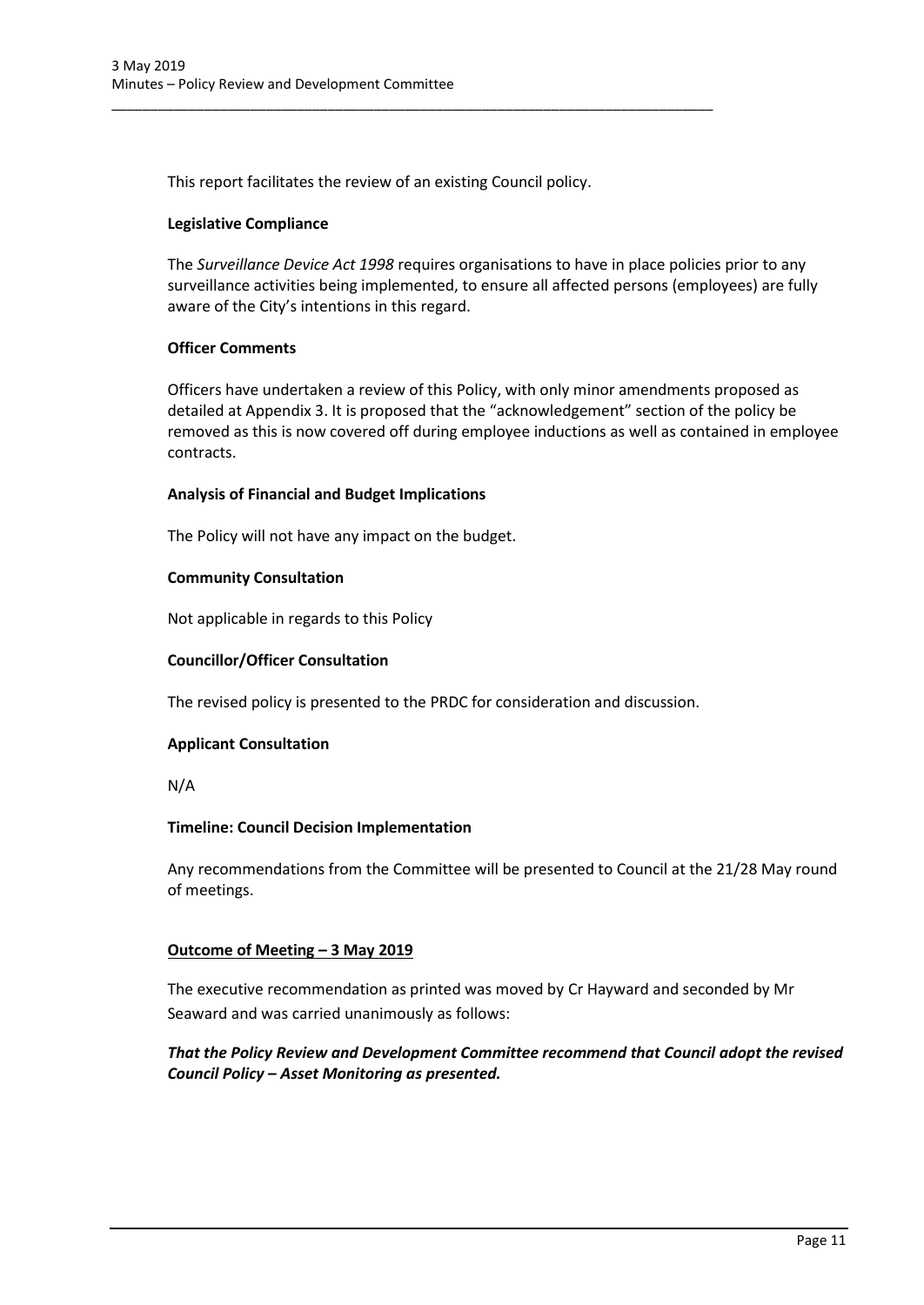This report facilitates the review of an existing Council policy.

\_\_\_\_\_\_\_\_\_\_\_\_\_\_\_\_\_\_\_\_\_\_\_\_\_\_\_\_\_\_\_\_\_\_\_\_\_\_\_\_\_\_\_\_\_\_\_\_\_\_\_\_\_\_\_\_\_\_\_\_\_\_\_\_\_\_\_\_\_\_\_\_\_\_\_\_\_\_

## **Legislative Compliance**

The *Surveillance Device Act 1998* requires organisations to have in place policies prior to any surveillance activities being implemented, to ensure all affected persons (employees) are fully aware of the City's intentions in this regard.

## **Officer Comments**

Officers have undertaken a review of this Policy, with only minor amendments proposed as detailed at Appendix 3. It is proposed that the "acknowledgement" section of the policy be removed as this is now covered off during employee inductions as well as contained in employee contracts.

## **Analysis of Financial and Budget Implications**

The Policy will not have any impact on the budget.

## **Community Consultation**

Not applicable in regards to this Policy

## **Councillor/Officer Consultation**

The revised policy is presented to the PRDC for consideration and discussion.

## **Applicant Consultation**

N/A

## **Timeline: Council Decision Implementation**

Any recommendations from the Committee will be presented to Council at the 21/28 May round of meetings.

# **Outcome of Meeting – 3 May 2019**

The executive recommendation as printed was moved by Cr Hayward and seconded by Mr Seaward and was carried unanimously as follows:

# *That the Policy Review and Development Committee recommend that Council adopt the revised Council Policy – Asset Monitoring as presented.*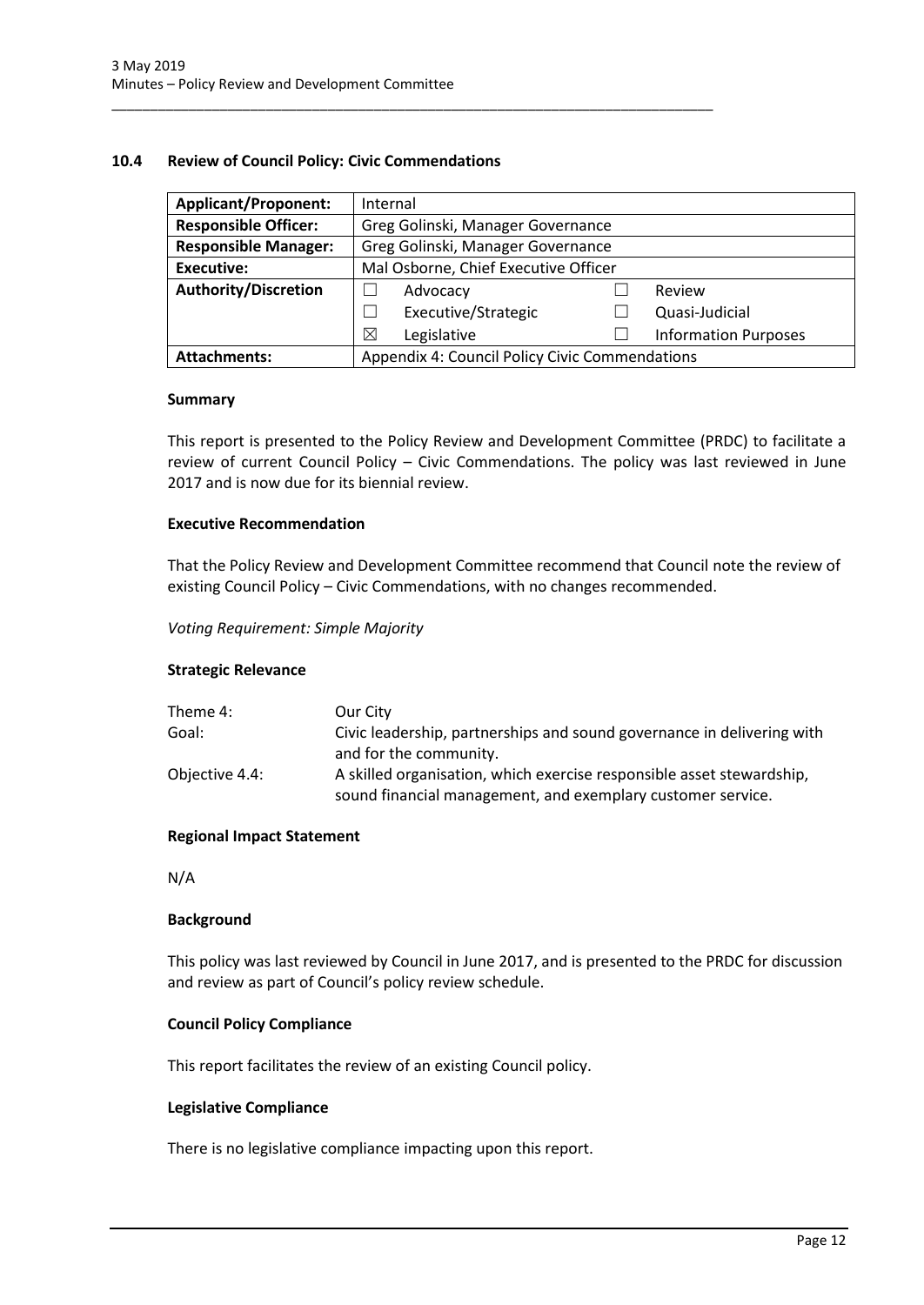## <span id="page-12-0"></span>**10.4 Review of Council Policy: Civic Commendations**

\_\_\_\_\_\_\_\_\_\_\_\_\_\_\_\_\_\_\_\_\_\_\_\_\_\_\_\_\_\_\_\_\_\_\_\_\_\_\_\_\_\_\_\_\_\_\_\_\_\_\_\_\_\_\_\_\_\_\_\_\_\_\_\_\_\_\_\_\_\_\_\_\_\_\_\_\_\_

| <b>Applicant/Proponent:</b> | Internal                                       |  |                             |
|-----------------------------|------------------------------------------------|--|-----------------------------|
| <b>Responsible Officer:</b> | Greg Golinski, Manager Governance              |  |                             |
| <b>Responsible Manager:</b> | Greg Golinski, Manager Governance              |  |                             |
| <b>Executive:</b>           | Mal Osborne, Chief Executive Officer           |  |                             |
| <b>Authority/Discretion</b> | Advocacy                                       |  | Review                      |
|                             | Executive/Strategic                            |  | Quasi-Judicial              |
|                             | Legislative<br>$\boxtimes$                     |  | <b>Information Purposes</b> |
| <b>Attachments:</b>         | Appendix 4: Council Policy Civic Commendations |  |                             |

#### **Summary**

This report is presented to the Policy Review and Development Committee (PRDC) to facilitate a review of current Council Policy – Civic Commendations. The policy was last reviewed in June 2017 and is now due for its biennial review.

## **Executive Recommendation**

That the Policy Review and Development Committee recommend that Council note the review of existing Council Policy – Civic Commendations, with no changes recommended.

*Voting Requirement: Simple Majority* 

## **Strategic Relevance**

| Theme 4:       | Our City                                                                                                                             |
|----------------|--------------------------------------------------------------------------------------------------------------------------------------|
| Goal:          | Civic leadership, partnerships and sound governance in delivering with                                                               |
|                | and for the community.                                                                                                               |
| Objective 4.4: | A skilled organisation, which exercise responsible asset stewardship,<br>sound financial management, and exemplary customer service. |

## **Regional Impact Statement**

N/A

#### **Background**

This policy was last reviewed by Council in June 2017, and is presented to the PRDC for discussion and review as part of Council's policy review schedule.

## **Council Policy Compliance**

This report facilitates the review of an existing Council policy.

## **Legislative Compliance**

There is no legislative compliance impacting upon this report.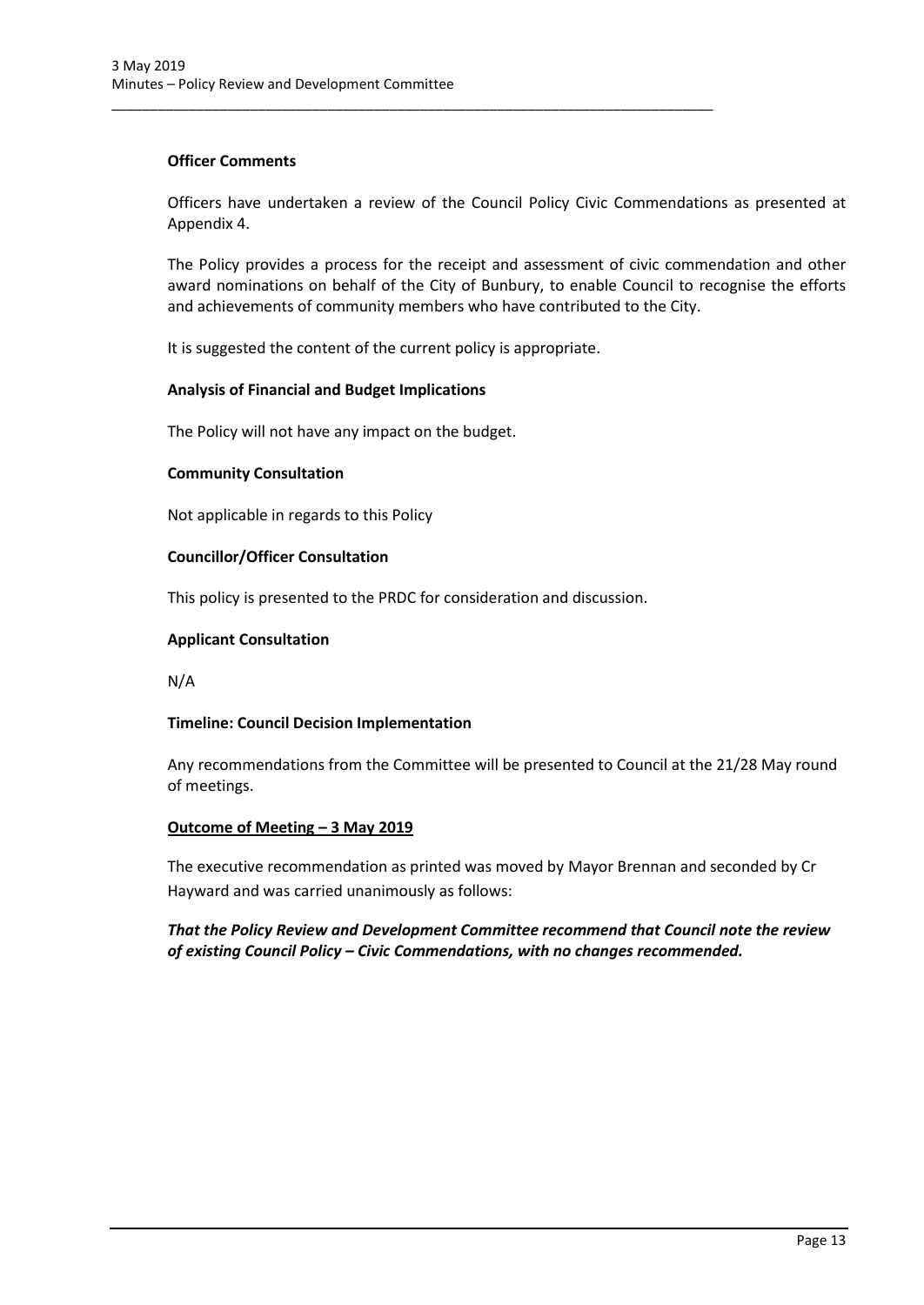## **Officer Comments**

Officers have undertaken a review of the Council Policy Civic Commendations as presented at Appendix 4.

The Policy provides a process for the receipt and assessment of civic commendation and other award nominations on behalf of the City of Bunbury, to enable Council to recognise the efforts and achievements of community members who have contributed to the City.

It is suggested the content of the current policy is appropriate.

\_\_\_\_\_\_\_\_\_\_\_\_\_\_\_\_\_\_\_\_\_\_\_\_\_\_\_\_\_\_\_\_\_\_\_\_\_\_\_\_\_\_\_\_\_\_\_\_\_\_\_\_\_\_\_\_\_\_\_\_\_\_\_\_\_\_\_\_\_\_\_\_\_\_\_\_\_\_

## **Analysis of Financial and Budget Implications**

The Policy will not have any impact on the budget.

## **Community Consultation**

Not applicable in regards to this Policy

## **Councillor/Officer Consultation**

This policy is presented to the PRDC for consideration and discussion.

## **Applicant Consultation**

N/A

# **Timeline: Council Decision Implementation**

Any recommendations from the Committee will be presented to Council at the 21/28 May round of meetings.

## **Outcome of Meeting – 3 May 2019**

The executive recommendation as printed was moved by Mayor Brennan and seconded by Cr Hayward and was carried unanimously as follows:

*That the Policy Review and Development Committee recommend that Council note the review of existing Council Policy – Civic Commendations, with no changes recommended.*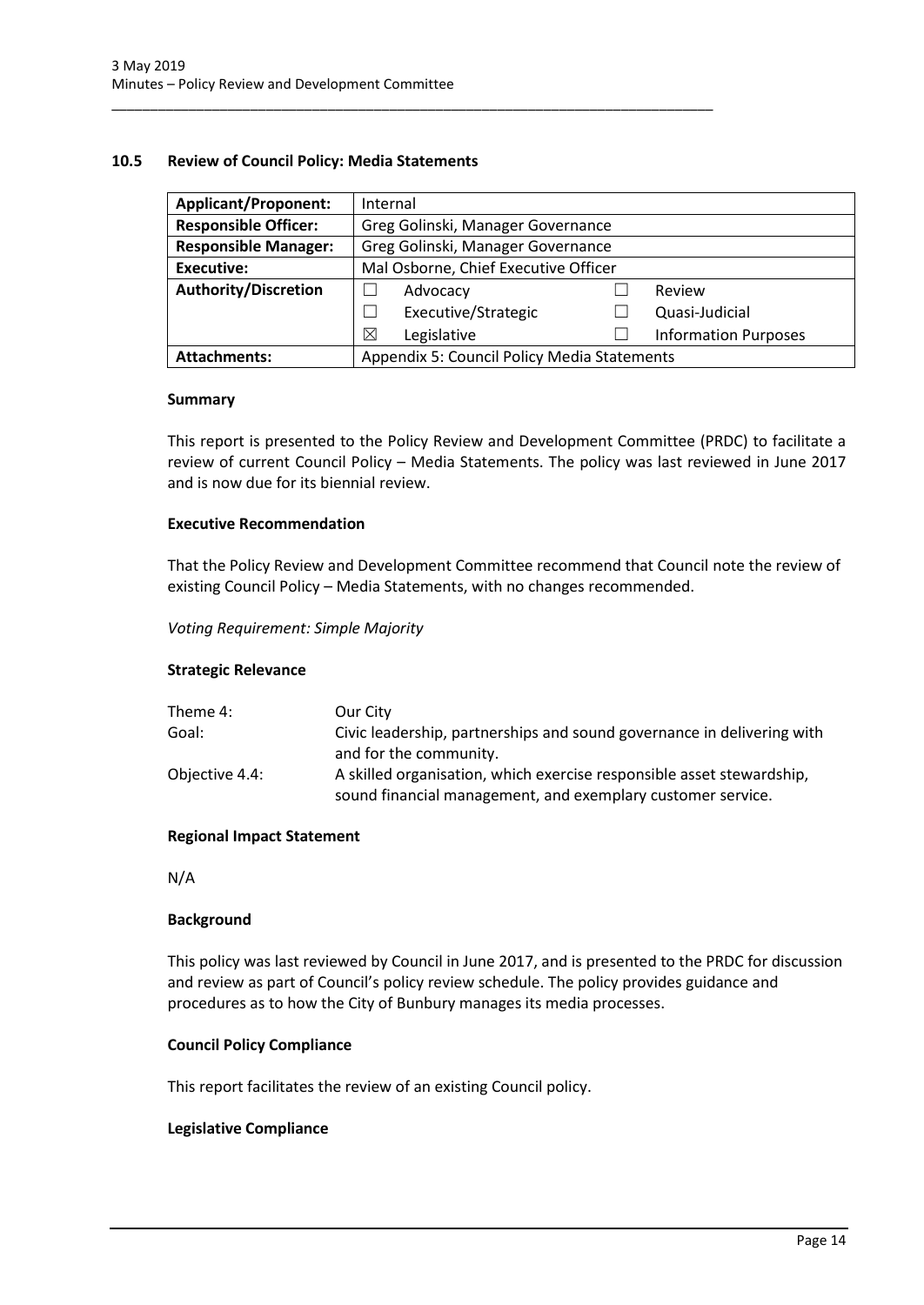## <span id="page-14-0"></span>**10.5 Review of Council Policy: Media Statements**

\_\_\_\_\_\_\_\_\_\_\_\_\_\_\_\_\_\_\_\_\_\_\_\_\_\_\_\_\_\_\_\_\_\_\_\_\_\_\_\_\_\_\_\_\_\_\_\_\_\_\_\_\_\_\_\_\_\_\_\_\_\_\_\_\_\_\_\_\_\_\_\_\_\_\_\_\_\_

| <b>Applicant/Proponent:</b> | Internal                                    |                             |
|-----------------------------|---------------------------------------------|-----------------------------|
| <b>Responsible Officer:</b> | Greg Golinski, Manager Governance           |                             |
| <b>Responsible Manager:</b> | Greg Golinski, Manager Governance           |                             |
| Executive:                  | Mal Osborne, Chief Executive Officer        |                             |
| <b>Authority/Discretion</b> | Advocacy                                    | Review                      |
|                             | Executive/Strategic                         | Quasi-Judicial              |
|                             | ⊠<br>Legislative                            | <b>Information Purposes</b> |
| <b>Attachments:</b>         | Appendix 5: Council Policy Media Statements |                             |

#### **Summary**

This report is presented to the Policy Review and Development Committee (PRDC) to facilitate a review of current Council Policy – Media Statements. The policy was last reviewed in June 2017 and is now due for its biennial review.

## **Executive Recommendation**

That the Policy Review and Development Committee recommend that Council note the review of existing Council Policy – Media Statements, with no changes recommended.

*Voting Requirement: Simple Majority* 

## **Strategic Relevance**

| Theme 4:       | Our City                                                                                                                             |
|----------------|--------------------------------------------------------------------------------------------------------------------------------------|
| Goal:          | Civic leadership, partnerships and sound governance in delivering with                                                               |
|                | and for the community.                                                                                                               |
| Objective 4.4: | A skilled organisation, which exercise responsible asset stewardship,<br>sound financial management, and exemplary customer service. |

## **Regional Impact Statement**

N/A

#### **Background**

This policy was last reviewed by Council in June 2017, and is presented to the PRDC for discussion and review as part of Council's policy review schedule. The policy provides guidance and procedures as to how the City of Bunbury manages its media processes.

## **Council Policy Compliance**

This report facilitates the review of an existing Council policy.

#### **Legislative Compliance**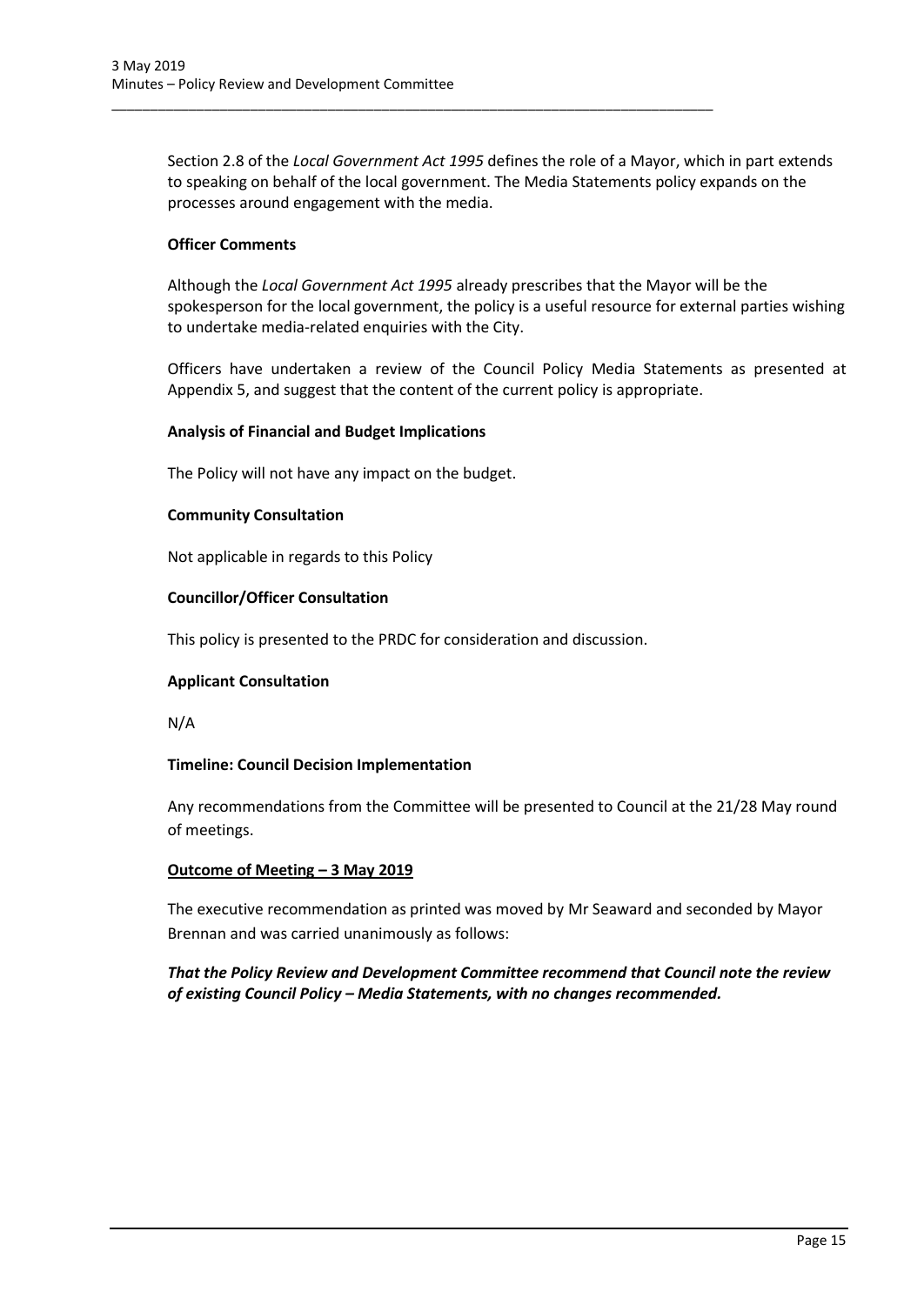Section 2.8 of the *Local Government Act 1995* defines the role of a Mayor, which in part extends to speaking on behalf of the local government. The Media Statements policy expands on the processes around engagement with the media.

\_\_\_\_\_\_\_\_\_\_\_\_\_\_\_\_\_\_\_\_\_\_\_\_\_\_\_\_\_\_\_\_\_\_\_\_\_\_\_\_\_\_\_\_\_\_\_\_\_\_\_\_\_\_\_\_\_\_\_\_\_\_\_\_\_\_\_\_\_\_\_\_\_\_\_\_\_\_

## **Officer Comments**

Although the *Local Government Act 1995* already prescribes that the Mayor will be the spokesperson for the local government, the policy is a useful resource for external parties wishing to undertake media-related enquiries with the City.

Officers have undertaken a review of the Council Policy Media Statements as presented at Appendix 5, and suggest that the content of the current policy is appropriate.

## **Analysis of Financial and Budget Implications**

The Policy will not have any impact on the budget.

## **Community Consultation**

Not applicable in regards to this Policy

## **Councillor/Officer Consultation**

This policy is presented to the PRDC for consideration and discussion.

## **Applicant Consultation**

N/A

## **Timeline: Council Decision Implementation**

Any recommendations from the Committee will be presented to Council at the 21/28 May round of meetings.

## **Outcome of Meeting – 3 May 2019**

The executive recommendation as printed was moved by Mr Seaward and seconded by Mayor Brennan and was carried unanimously as follows:

*That the Policy Review and Development Committee recommend that Council note the review of existing Council Policy – Media Statements, with no changes recommended.*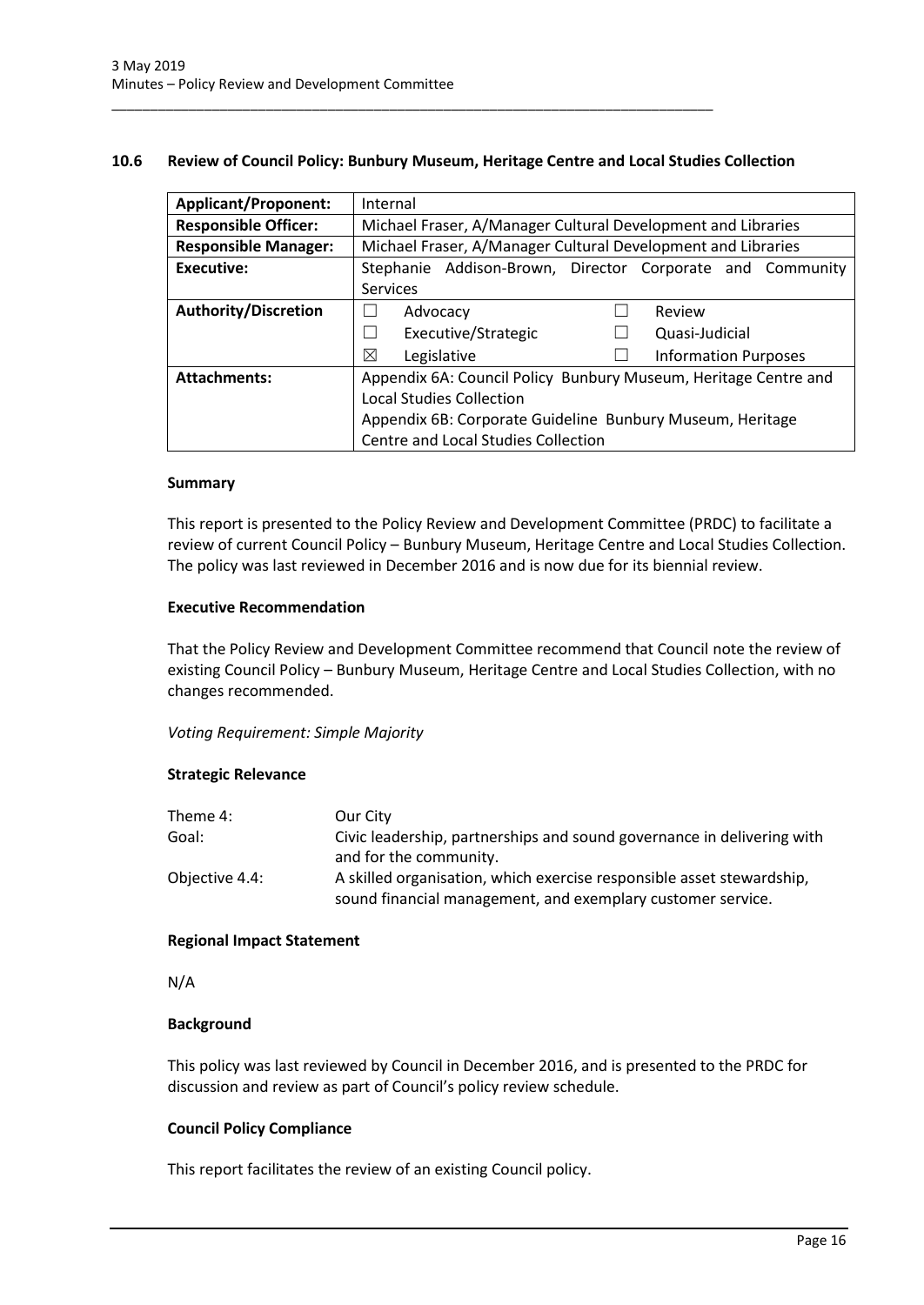## <span id="page-16-0"></span>**10.6 Review of Council Policy: Bunbury Museum, Heritage Centre and Local Studies Collection**

\_\_\_\_\_\_\_\_\_\_\_\_\_\_\_\_\_\_\_\_\_\_\_\_\_\_\_\_\_\_\_\_\_\_\_\_\_\_\_\_\_\_\_\_\_\_\_\_\_\_\_\_\_\_\_\_\_\_\_\_\_\_\_\_\_\_\_\_\_\_\_\_\_\_\_\_\_\_

| <b>Applicant/Proponent:</b> | Internal                                                        |  |
|-----------------------------|-----------------------------------------------------------------|--|
| <b>Responsible Officer:</b> | Michael Fraser, A/Manager Cultural Development and Libraries    |  |
| <b>Responsible Manager:</b> | Michael Fraser, A/Manager Cultural Development and Libraries    |  |
| Executive:                  | Stephanie Addison-Brown, Director Corporate and Community       |  |
|                             | <b>Services</b>                                                 |  |
| <b>Authority/Discretion</b> | Review<br>Advocacy                                              |  |
|                             | Executive/Strategic<br>Quasi-Judicial<br>$\mathsf{L}$           |  |
|                             | ⊠<br>Legislative<br><b>Information Purposes</b>                 |  |
| <b>Attachments:</b>         | Appendix 6A: Council Policy Bunbury Museum, Heritage Centre and |  |
|                             | <b>Local Studies Collection</b>                                 |  |
|                             | Appendix 6B: Corporate Guideline Bunbury Museum, Heritage       |  |
|                             | Centre and Local Studies Collection                             |  |

#### **Summary**

This report is presented to the Policy Review and Development Committee (PRDC) to facilitate a review of current Council Policy – Bunbury Museum, Heritage Centre and Local Studies Collection. The policy was last reviewed in December 2016 and is now due for its biennial review.

## **Executive Recommendation**

That the Policy Review and Development Committee recommend that Council note the review of existing Council Policy – Bunbury Museum, Heritage Centre and Local Studies Collection, with no changes recommended.

## *Voting Requirement: Simple Majority*

## **Strategic Relevance**

| Theme 4:       | Our City                                                               |
|----------------|------------------------------------------------------------------------|
| Goal:          | Civic leadership, partnerships and sound governance in delivering with |
|                | and for the community.                                                 |
| Objective 4.4: | A skilled organisation, which exercise responsible asset stewardship,  |
|                | sound financial management, and exemplary customer service.            |

## **Regional Impact Statement**

N/A

## **Background**

This policy was last reviewed by Council in December 2016, and is presented to the PRDC for discussion and review as part of Council's policy review schedule.

## **Council Policy Compliance**

This report facilitates the review of an existing Council policy.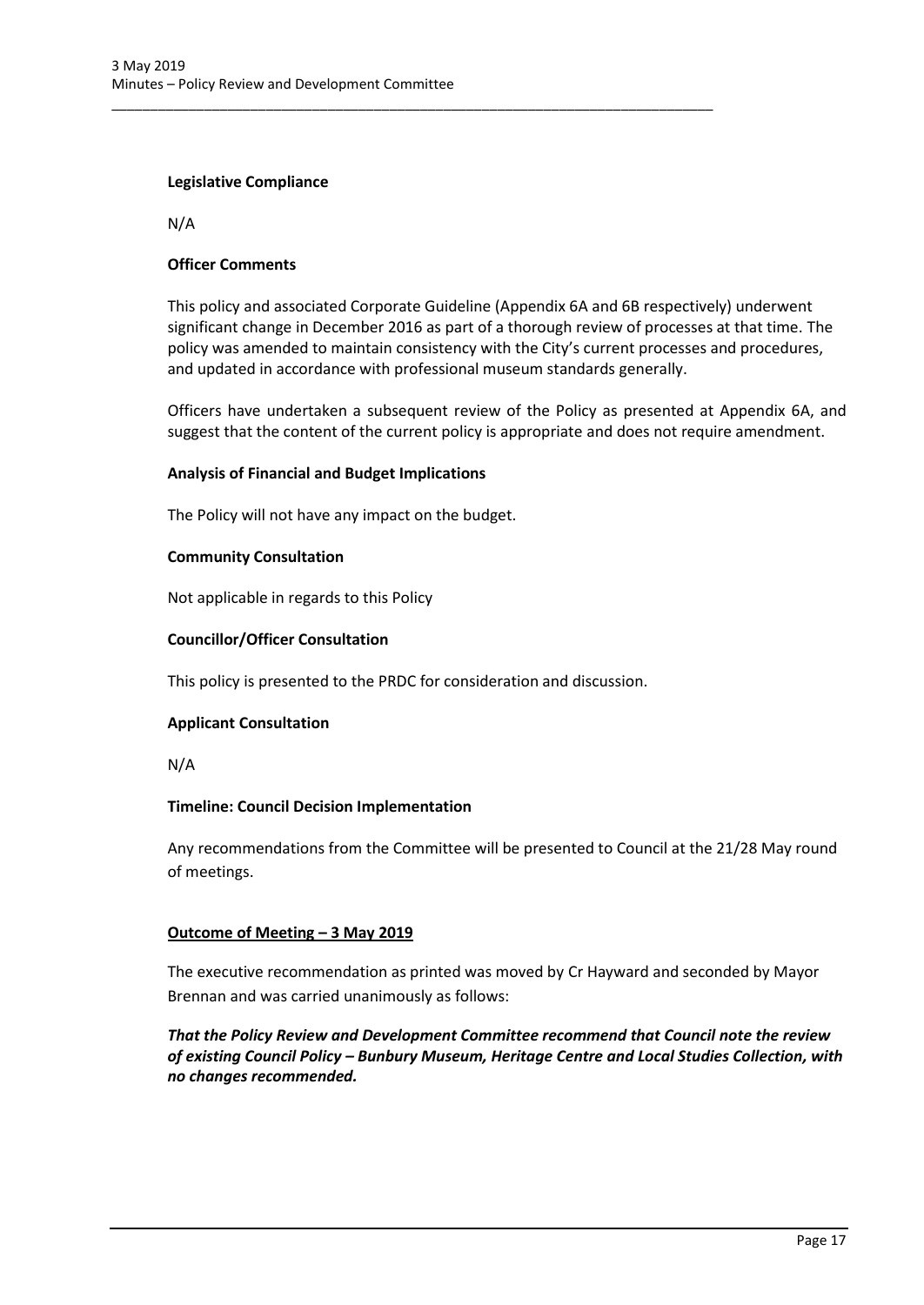## **Legislative Compliance**

N/A

## **Officer Comments**

This policy and associated Corporate Guideline (Appendix 6A and 6B respectively) underwent significant change in December 2016 as part of a thorough review of processes at that time. The policy was amended to maintain consistency with the City's current processes and procedures, and updated in accordance with professional museum standards generally.

Officers have undertaken a subsequent review of the Policy as presented at Appendix 6A, and suggest that the content of the current policy is appropriate and does not require amendment.

## **Analysis of Financial and Budget Implications**

The Policy will not have any impact on the budget.

## **Community Consultation**

Not applicable in regards to this Policy

## **Councillor/Officer Consultation**

This policy is presented to the PRDC for consideration and discussion.

\_\_\_\_\_\_\_\_\_\_\_\_\_\_\_\_\_\_\_\_\_\_\_\_\_\_\_\_\_\_\_\_\_\_\_\_\_\_\_\_\_\_\_\_\_\_\_\_\_\_\_\_\_\_\_\_\_\_\_\_\_\_\_\_\_\_\_\_\_\_\_\_\_\_\_\_\_\_

## **Applicant Consultation**

N/A

## **Timeline: Council Decision Implementation**

Any recommendations from the Committee will be presented to Council at the 21/28 May round of meetings.

# **Outcome of Meeting – 3 May 2019**

The executive recommendation as printed was moved by Cr Hayward and seconded by Mayor Brennan and was carried unanimously as follows:

*That the Policy Review and Development Committee recommend that Council note the review of existing Council Policy – Bunbury Museum, Heritage Centre and Local Studies Collection, with no changes recommended.*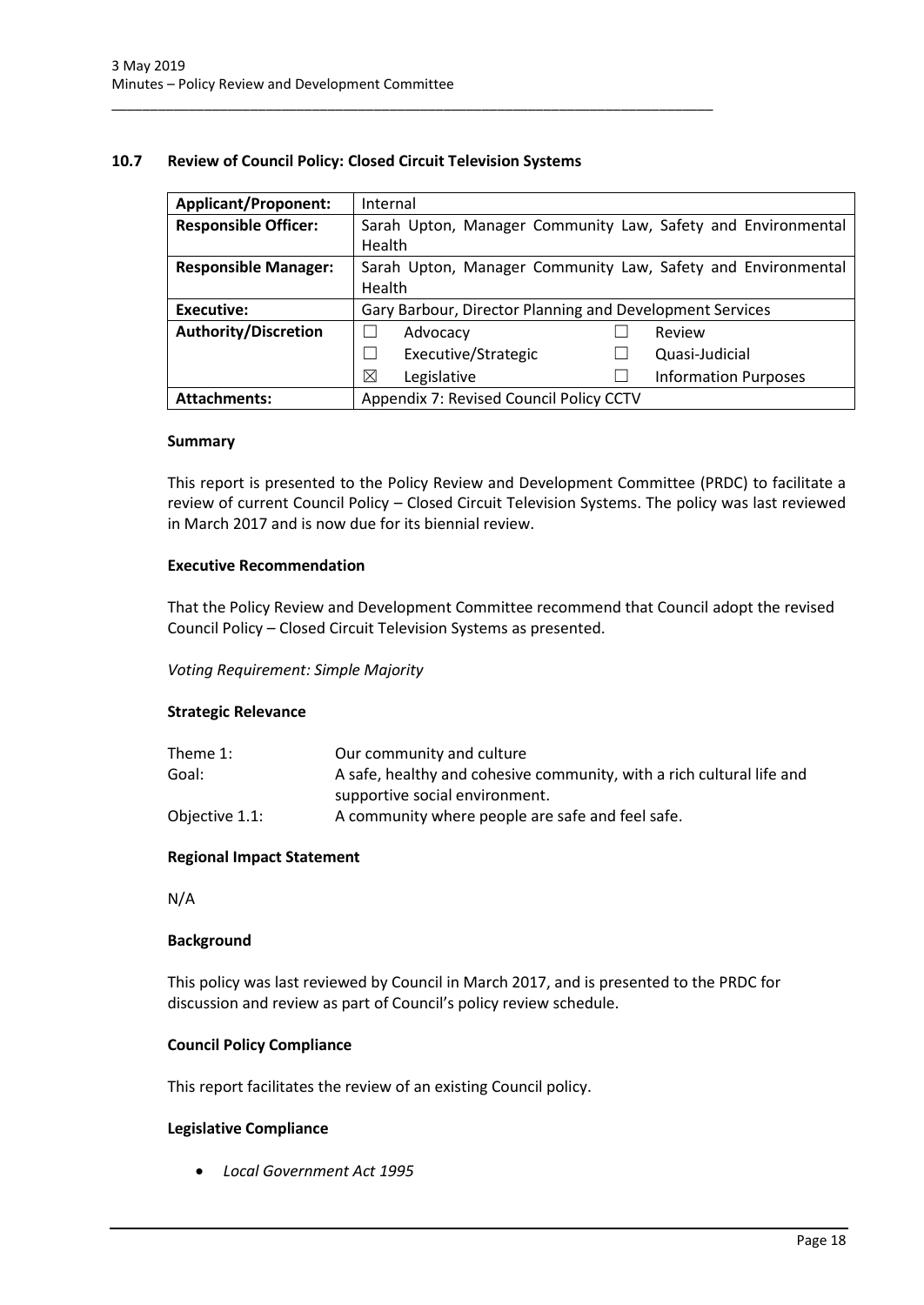## <span id="page-18-0"></span>**10.7 Review of Council Policy: Closed Circuit Television Systems**

\_\_\_\_\_\_\_\_\_\_\_\_\_\_\_\_\_\_\_\_\_\_\_\_\_\_\_\_\_\_\_\_\_\_\_\_\_\_\_\_\_\_\_\_\_\_\_\_\_\_\_\_\_\_\_\_\_\_\_\_\_\_\_\_\_\_\_\_\_\_\_\_\_\_\_\_\_\_

| <b>Applicant/Proponent:</b> | Internal                                                     |                             |
|-----------------------------|--------------------------------------------------------------|-----------------------------|
| <b>Responsible Officer:</b> | Sarah Upton, Manager Community Law, Safety and Environmental |                             |
|                             | Health                                                       |                             |
| <b>Responsible Manager:</b> | Sarah Upton, Manager Community Law, Safety and Environmental |                             |
|                             | Health                                                       |                             |
| <b>Executive:</b>           | Gary Barbour, Director Planning and Development Services     |                             |
| <b>Authority/Discretion</b> | Advocacy                                                     | Review                      |
|                             |                                                              |                             |
|                             | Executive/Strategic                                          | Quasi-Judicial              |
|                             | ⊠<br>Legislative                                             | <b>Information Purposes</b> |

#### **Summary**

This report is presented to the Policy Review and Development Committee (PRDC) to facilitate a review of current Council Policy – Closed Circuit Television Systems. The policy was last reviewed in March 2017 and is now due for its biennial review.

## **Executive Recommendation**

That the Policy Review and Development Committee recommend that Council adopt the revised Council Policy – Closed Circuit Television Systems as presented.

## *Voting Requirement: Simple Majority*

#### **Strategic Relevance**

| Theme 1:       | Our community and culture                                             |
|----------------|-----------------------------------------------------------------------|
| Goal:          | A safe, healthy and cohesive community, with a rich cultural life and |
|                | supportive social environment.                                        |
| Objective 1.1: | A community where people are safe and feel safe.                      |

## **Regional Impact Statement**

N/A

#### **Background**

This policy was last reviewed by Council in March 2017, and is presented to the PRDC for discussion and review as part of Council's policy review schedule.

## **Council Policy Compliance**

This report facilitates the review of an existing Council policy.

## **Legislative Compliance**

*Local Government Act 1995*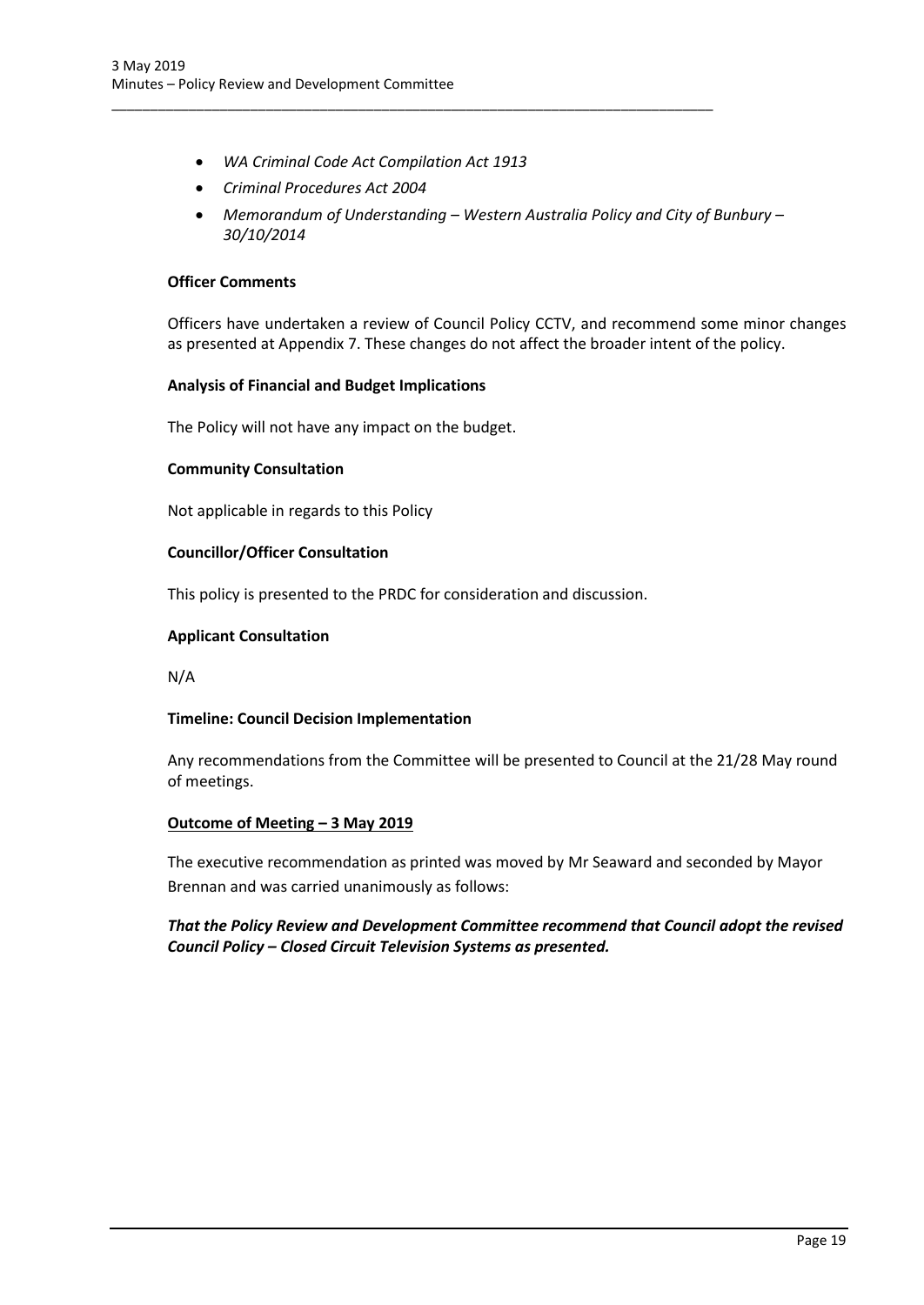*WA Criminal Code Act Compilation Act 1913* 

\_\_\_\_\_\_\_\_\_\_\_\_\_\_\_\_\_\_\_\_\_\_\_\_\_\_\_\_\_\_\_\_\_\_\_\_\_\_\_\_\_\_\_\_\_\_\_\_\_\_\_\_\_\_\_\_\_\_\_\_\_\_\_\_\_\_\_\_\_\_\_\_\_\_\_\_\_\_

- *Criminal Procedures Act 2004*
- *Memorandum of Understanding – Western Australia Policy and City of Bunbury – 30/10/2014*

## **Officer Comments**

Officers have undertaken a review of Council Policy CCTV, and recommend some minor changes as presented at Appendix 7. These changes do not affect the broader intent of the policy.

## **Analysis of Financial and Budget Implications**

The Policy will not have any impact on the budget.

## **Community Consultation**

Not applicable in regards to this Policy

## **Councillor/Officer Consultation**

This policy is presented to the PRDC for consideration and discussion.

## **Applicant Consultation**

N/A

## **Timeline: Council Decision Implementation**

Any recommendations from the Committee will be presented to Council at the 21/28 May round of meetings.

## **Outcome of Meeting – 3 May 2019**

The executive recommendation as printed was moved by Mr Seaward and seconded by Mayor Brennan and was carried unanimously as follows:

# *That the Policy Review and Development Committee recommend that Council adopt the revised Council Policy – Closed Circuit Television Systems as presented.*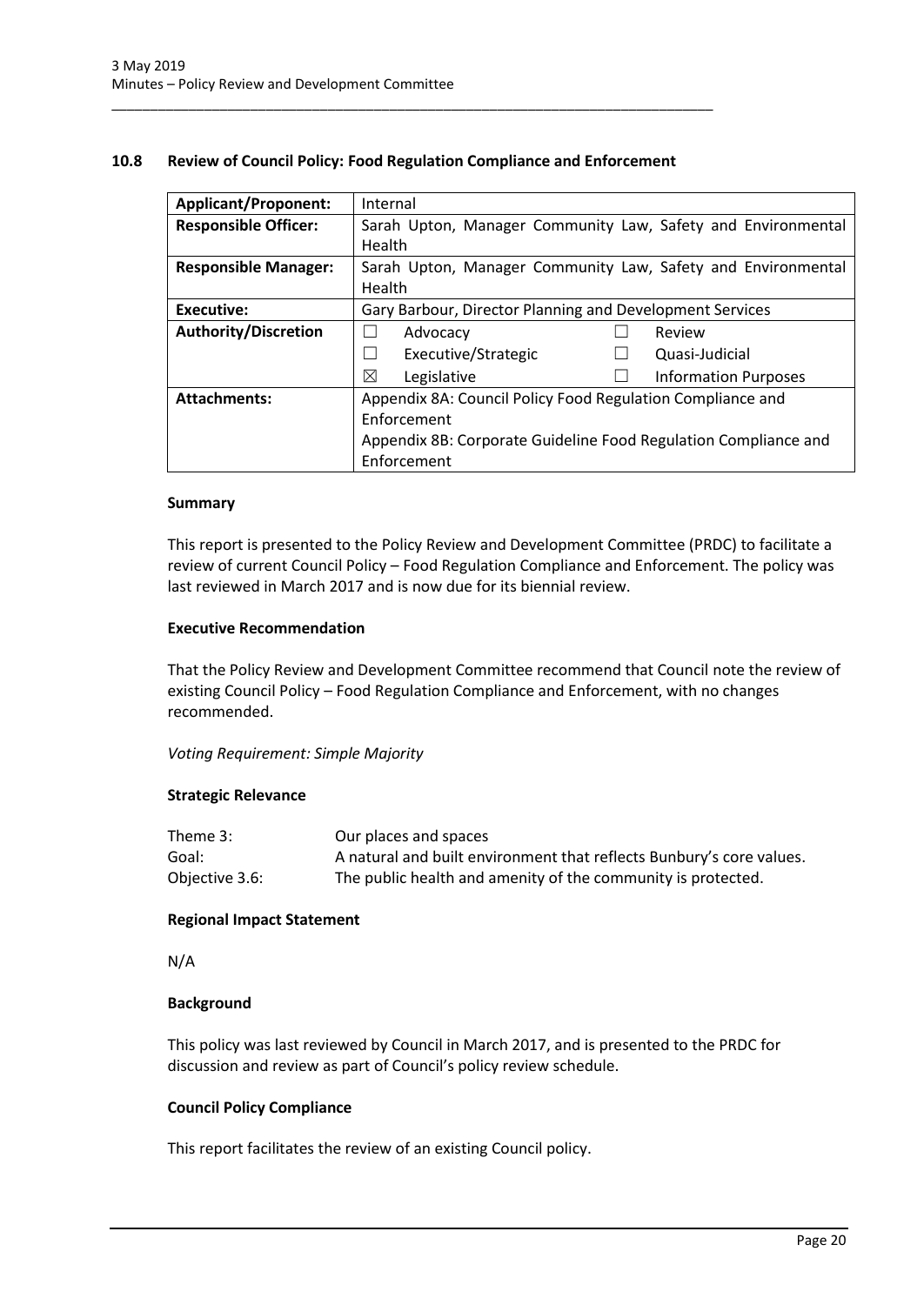## <span id="page-20-0"></span>**10.8 Review of Council Policy: Food Regulation Compliance and Enforcement**

\_\_\_\_\_\_\_\_\_\_\_\_\_\_\_\_\_\_\_\_\_\_\_\_\_\_\_\_\_\_\_\_\_\_\_\_\_\_\_\_\_\_\_\_\_\_\_\_\_\_\_\_\_\_\_\_\_\_\_\_\_\_\_\_\_\_\_\_\_\_\_\_\_\_\_\_\_\_

| <b>Applicant/Proponent:</b> | Internal                                                        |  |
|-----------------------------|-----------------------------------------------------------------|--|
| <b>Responsible Officer:</b> | Sarah Upton, Manager Community Law, Safety and Environmental    |  |
|                             | Health                                                          |  |
| <b>Responsible Manager:</b> | Sarah Upton, Manager Community Law, Safety and Environmental    |  |
|                             | Health                                                          |  |
| Executive:                  | Gary Barbour, Director Planning and Development Services        |  |
| <b>Authority/Discretion</b> | Advocacy<br>Review                                              |  |
|                             | Executive/Strategic<br>Quasi-Judicial                           |  |
|                             | ⊠<br><b>Information Purposes</b><br>Legislative                 |  |
| <b>Attachments:</b>         | Appendix 8A: Council Policy Food Regulation Compliance and      |  |
|                             | Enforcement                                                     |  |
|                             | Appendix 8B: Corporate Guideline Food Regulation Compliance and |  |
|                             | Enforcement                                                     |  |

## **Summary**

This report is presented to the Policy Review and Development Committee (PRDC) to facilitate a review of current Council Policy – Food Regulation Compliance and Enforcement. The policy was last reviewed in March 2017 and is now due for its biennial review.

## **Executive Recommendation**

That the Policy Review and Development Committee recommend that Council note the review of existing Council Policy – Food Regulation Compliance and Enforcement, with no changes recommended.

*Voting Requirement: Simple Majority* 

## **Strategic Relevance**

| Theme 3:       | Our places and spaces                                                |
|----------------|----------------------------------------------------------------------|
| Goal:          | A natural and built environment that reflects Bunbury's core values. |
| Objective 3.6: | The public health and amenity of the community is protected.         |

## **Regional Impact Statement**

N/A

## **Background**

This policy was last reviewed by Council in March 2017, and is presented to the PRDC for discussion and review as part of Council's policy review schedule.

## **Council Policy Compliance**

This report facilitates the review of an existing Council policy.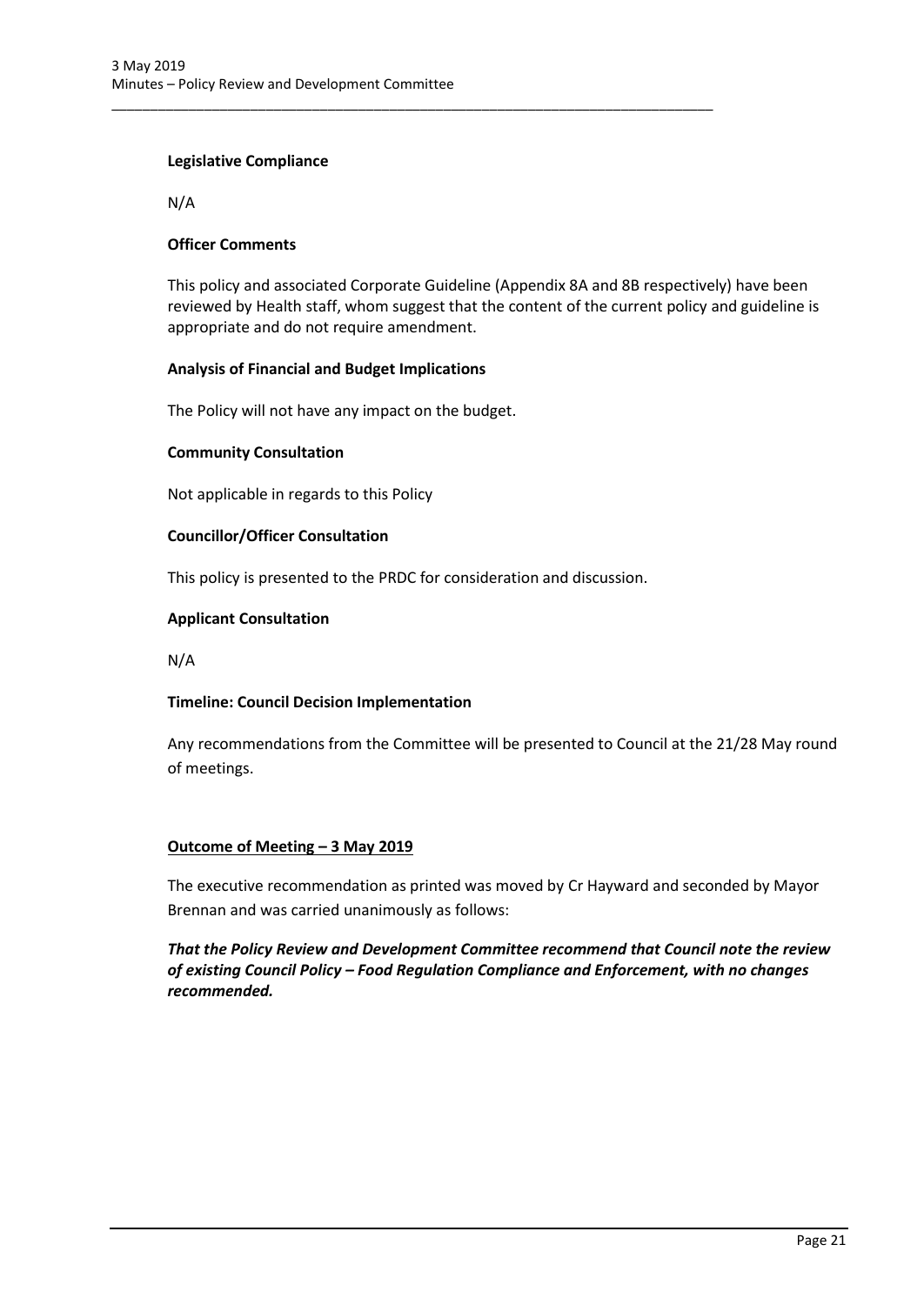## **Legislative Compliance**

N/A

## **Officer Comments**

This policy and associated Corporate Guideline (Appendix 8A and 8B respectively) have been reviewed by Health staff, whom suggest that the content of the current policy and guideline is appropriate and do not require amendment.

## **Analysis of Financial and Budget Implications**

The Policy will not have any impact on the budget.

## **Community Consultation**

Not applicable in regards to this Policy

## **Councillor/Officer Consultation**

This policy is presented to the PRDC for consideration and discussion.

\_\_\_\_\_\_\_\_\_\_\_\_\_\_\_\_\_\_\_\_\_\_\_\_\_\_\_\_\_\_\_\_\_\_\_\_\_\_\_\_\_\_\_\_\_\_\_\_\_\_\_\_\_\_\_\_\_\_\_\_\_\_\_\_\_\_\_\_\_\_\_\_\_\_\_\_\_\_

## **Applicant Consultation**

N/A

# **Timeline: Council Decision Implementation**

Any recommendations from the Committee will be presented to Council at the 21/28 May round of meetings.

# **Outcome of Meeting – 3 May 2019**

The executive recommendation as printed was moved by Cr Hayward and seconded by Mayor Brennan and was carried unanimously as follows:

*That the Policy Review and Development Committee recommend that Council note the review of existing Council Policy – Food Regulation Compliance and Enforcement, with no changes recommended.*